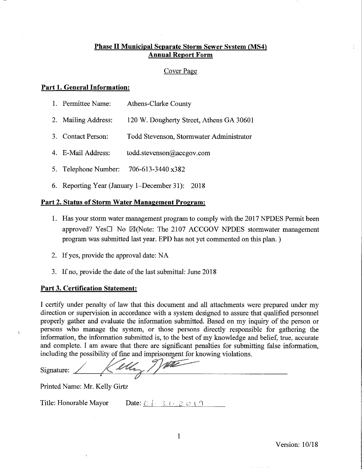### **Phase II Municipal Separate Storm Sewer System (MS4) Annual Report Form**

### Cover Page

### **Part 1. General Information:**

| Permittee Name: | Athens-Clarke County |  |
|-----------------|----------------------|--|
|                 |                      |  |

- 2. Mailing Address: 120 W. Dougherty Street, Athens GA 30601
- 3. Contact Person: Todd Stevenson, Stormwater Administrator
- 4. E-Mail Address: todd.stevenson@accgov.com
- 5. Telephone Number: 706-613-3440 x382
- 6. Reporting Year (January 1-December 31): 2018

#### Part 2. Status of Storm Water Management Program:

- 1. Has your storm water management program to comply with the 2017 NPDES Permit been approved? Yes $\square$  No  $\boxtimes$  (Note: The 2107 ACCGOV NPDES stormwater management program was submitted last year. EPD has not yet commented on this plan.)
- 2. If yes, provide the approval date: NA
- 3. If no, provide the date of the last submittal: June 2018

#### **Part 3. Certification Statement:**

I certify under penalty of law that this document and all attachments were prepared under my direction or supervision in accordance with a system designed to assure that qualified personnel properly gather and evaluate the information submitted. Based on my inquiry of the person or persons who manage the system, or those persons directly responsible for gathering the information, the information submitted is, to the best of my knowledge and belief, true, accurate and complete. I am aware that there are significant penalties for submitting false information, including the possibility of fine and imprisonment for knowing violations.

Valen Signature: 1 Kelley

Printed Name: Mr. Kelly Girtz

Title: Honorable Mayor

 $\tilde{\mathbf{v}}$ 

Date:  $\mathcal{C}$  |  $\mathcal{C}$  |  $\mathcal{C}$  |  $\mathcal{C}$  |  $\mathcal{C}$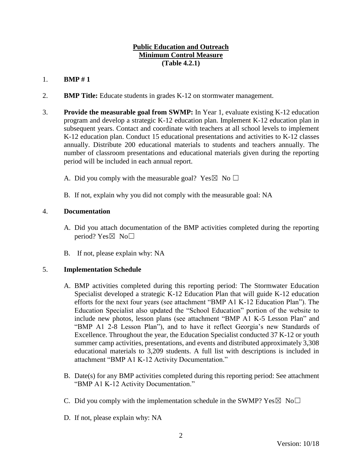# **Public Education and Outreach Minimum Control Measure (Table 4.2.1)**

# 1. **BMP # 1**

- 2. **BMP Title:** Educate students in grades K-12 on stormwater management.
- 3. **Provide the measurable goal from SWMP:** In Year 1, evaluate existing K-12 education program and develop a strategic K-12 education plan. Implement K-12 education plan in subsequent years. Contact and coordinate with teachers at all school levels to implement K-12 education plan. Conduct 15 educational presentations and activities to K-12 classes annually. Distribute 200 educational materials to students and teachers annually. The number of classroom presentations and educational materials given during the reporting period will be included in each annual report.
	- A. Did you comply with the measurable goal? Yes  $\boxtimes$  No  $\Box$
	- B. If not, explain why you did not comply with the measurable goal: NA

### 4. **Documentation**

- A. Did you attach documentation of the BMP activities completed during the reporting period? Yes $\boxtimes$  No $\square$
- B. If not, please explain why: NA

# 5. **Implementation Schedule**

- A. BMP activities completed during this reporting period: The Stormwater Education Specialist developed a strategic K-12 Education Plan that will guide K-12 education efforts for the next four years (see attachment "BMP A1 K-12 Education Plan"). The Education Specialist also updated the "School Education" portion of the website to include new photos, lesson plans (see attachment "BMP A1 K-5 Lesson Plan" and "BMP A1 2-8 Lesson Plan"), and to have it reflect Georgia's new Standards of Excellence. Throughout the year, the Education Specialist conducted 37 K-12 or youth summer camp activities, presentations, and events and distributed approximately 3,308 educational materials to 3,209 students. A full list with descriptions is included in attachment "BMP A1 K-12 Activity Documentation."
- B. Date(s) for any BMP activities completed during this reporting period: See attachment "BMP A1 K-12 Activity Documentation."
- C. Did you comply with the implementation schedule in the SWMP?  $Yes \boxtimes No \square$
- D. If not, please explain why: NA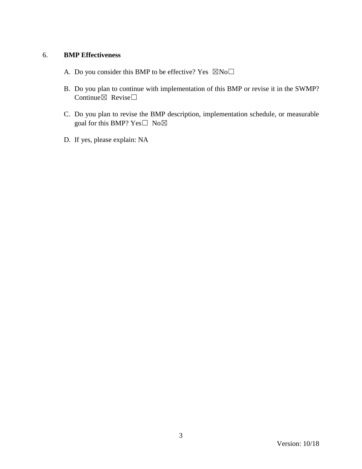- A. Do you consider this BMP to be effective? Yes  $\boxtimes$ No $\square$
- B. Do you plan to continue with implementation of this BMP or revise it in the SWMP? Continue $\boxtimes$  Revise $\Box$
- C. Do you plan to revise the BMP description, implementation schedule, or measurable goal for this BMP? Yes $\square$  No $\boxtimes$
- D. If yes, please explain: NA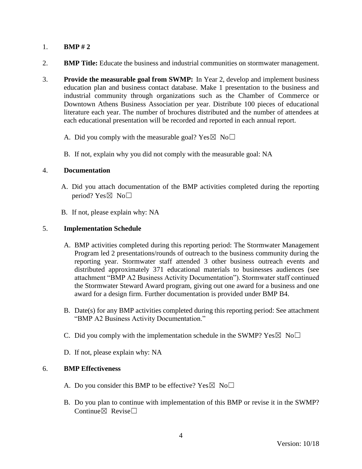- 2. **BMP Title:** Educate the business and industrial communities on stormwater management.
- 3. **Provide the measurable goal from SWMP:** In Year 2, develop and implement business education plan and business contact database. Make 1 presentation to the business and industrial community through organizations such as the Chamber of Commerce or Downtown Athens Business Association per year. Distribute 100 pieces of educational literature each year. The number of brochures distributed and the number of attendees at each educational presentation will be recorded and reported in each annual report.
	- A. Did you comply with the measurable goal? Yes  $\boxtimes$  No $\Box$
	- B. If not, explain why you did not comply with the measurable goal: NA

### 4. **Documentation**

- A. Did you attach documentation of the BMP activities completed during the reporting period? Yes $\boxtimes$  No $\square$
- B. If not, please explain why: NA

### 5. **Implementation Schedule**

- A. BMP activities completed during this reporting period: The Stormwater Management Program led 2 presentations/rounds of outreach to the business community during the reporting year. Stormwater staff attended 3 other business outreach events and distributed approximately 371 educational materials to businesses audiences (see attachment "BMP A2 Business Activity Documentation"). Stormwater staff continued the Stormwater Steward Award program, giving out one award for a business and one award for a design firm. Further documentation is provided under BMP B4.
- B. Date(s) for any BMP activities completed during this reporting period: See attachment "BMP A2 Business Activity Documentation."
- C. Did you comply with the implementation schedule in the SWMP?  $Yes \boxtimes No \square$
- D. If not, please explain why: NA

- A. Do you consider this BMP to be effective? Yes  $\boxtimes$  No $\Box$
- B. Do you plan to continue with implementation of this BMP or revise it in the SWMP? Continue $\boxtimes$  Revise $\Box$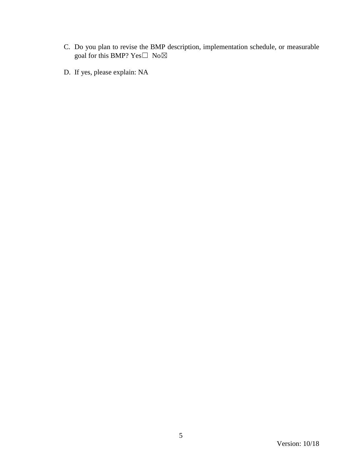- C. Do you plan to revise the BMP description, implementation schedule, or measurable goal for this BMP?  $Yes \Box No \boxtimes$
- D. If yes, please explain: NA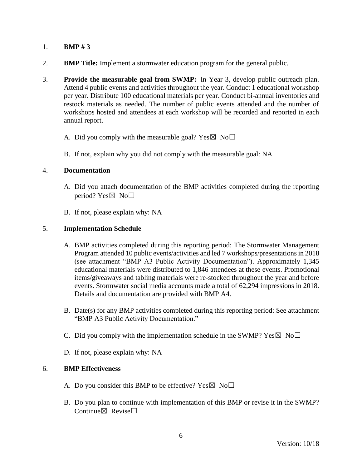- 2. **BMP Title:** Implement a stormwater education program for the general public.
- 3. **Provide the measurable goal from SWMP:** In Year 3, develop public outreach plan. Attend 4 public events and activities throughout the year. Conduct 1 educational workshop per year. Distribute 100 educational materials per year. Conduct bi-annual inventories and restock materials as needed. The number of public events attended and the number of workshops hosted and attendees at each workshop will be recorded and reported in each annual report.
	- A. Did you comply with the measurable goal? Yes  $\boxtimes$  No $\Box$
	- B. If not, explain why you did not comply with the measurable goal: NA

#### 4. **Documentation**

- A. Did you attach documentation of the BMP activities completed during the reporting period? Yes $\boxtimes$  No $\square$
- B. If not, please explain why: NA

#### 5. **Implementation Schedule**

- A. BMP activities completed during this reporting period: The Stormwater Management Program attended 10 public events/activities and led 7 workshops/presentations in 2018 (see attachment "BMP A3 Public Activity Documentation"). Approximately 1,345 educational materials were distributed to 1,846 attendees at these events. Promotional items/giveaways and tabling materials were re-stocked throughout the year and before events. Stormwater social media accounts made a total of 62,294 impressions in 2018. Details and documentation are provided with BMP A4.
- B. Date(s) for any BMP activities completed during this reporting period: See attachment "BMP A3 Public Activity Documentation."
- C. Did you comply with the implementation schedule in the SWMP?  $Yes \boxtimes No \square$
- D. If not, please explain why: NA

- A. Do you consider this BMP to be effective? Yes  $\boxtimes$  No $\Box$
- B. Do you plan to continue with implementation of this BMP or revise it in the SWMP? Continue $\boxtimes$  Revise $\Box$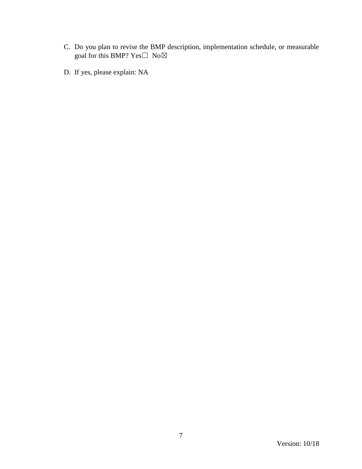- C. Do you plan to revise the BMP description, implementation schedule, or measurable goal for this BMP?  $Yes \Box No \boxtimes$
- D. If yes, please explain: NA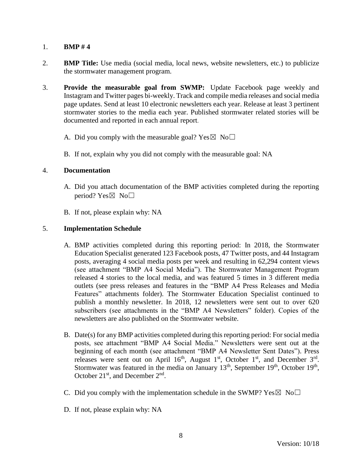- 2. **BMP Title:** Use media (social media, local news, website newsletters, etc.) to publicize the stormwater management program.
- 3. **Provide the measurable goal from SWMP:** Update Facebook page weekly and Instagram and Twitter pages bi-weekly. Track and compile media releases and social media page updates. Send at least 10 electronic newsletters each year. Release at least 3 pertinent stormwater stories to the media each year. Published stormwater related stories will be documented and reported in each annual report.
	- A. Did you comply with the measurable goal? Yes  $\boxtimes$  No $\Box$
	- B. If not, explain why you did not comply with the measurable goal: NA

#### 4. **Documentation**

- A. Did you attach documentation of the BMP activities completed during the reporting period? Yes $\boxtimes$  No $\square$
- B. If not, please explain why: NA

### 5. **Implementation Schedule**

- A. BMP activities completed during this reporting period: In 2018, the Stormwater Education Specialist generated 123 Facebook posts, 47 Twitter posts, and 44 Instagram posts, averaging 4 social media posts per week and resulting in 62,294 content views (see attachment "BMP A4 Social Media"). The Stormwater Management Program released 4 stories to the local media, and was featured 5 times in 3 different media outlets (see press releases and features in the "BMP A4 Press Releases and Media Features" attachments folder). The Stormwater Education Specialist continued to publish a monthly newsletter. In 2018, 12 newsletters were sent out to over 620 subscribers (see attachments in the "BMP A4 Newsletters" folder). Copies of the newsletters are also published on the Stormwater website.
- B. Date(s) for any BMP activities completed during this reporting period: For social media posts, see attachment "BMP A4 Social Media." Newsletters were sent out at the beginning of each month (see attachment "BMP A4 Newsletter Sent Dates"). Press releases were sent out on April  $16<sup>th</sup>$ , August  $1<sup>st</sup>$ , October  $1<sup>st</sup>$ , and December  $3<sup>rd</sup>$ . Stormwater was featured in the media on January  $13<sup>th</sup>$ , September  $19<sup>th</sup>$ , October  $19<sup>th</sup>$ , October  $21<sup>st</sup>$ , and December  $2<sup>nd</sup>$ .
- C. Did you comply with the implementation schedule in the SWMP?  $Yes \boxtimes No \square$
- D. If not, please explain why: NA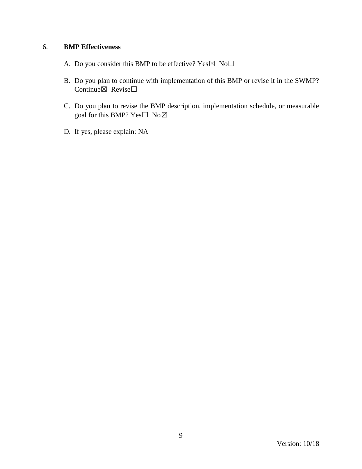- A. Do you consider this BMP to be effective? Yes  $\boxtimes$  No $\Box$
- B. Do you plan to continue with implementation of this BMP or revise it in the SWMP? Continue $\boxtimes$  Revise $\Box$
- C. Do you plan to revise the BMP description, implementation schedule, or measurable goal for this BMP? Yes□ No⊠
- D. If yes, please explain: NA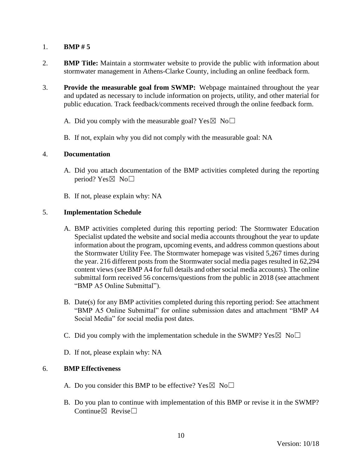- 2. **BMP Title:** Maintain a stormwater website to provide the public with information about stormwater management in Athens-Clarke County, including an online feedback form.
- 3. **Provide the measurable goal from SWMP:** Webpage maintained throughout the year and updated as necessary to include information on projects, utility, and other material for public education. Track feedback/comments received through the online feedback form.
	- A. Did you comply with the measurable goal? Yes  $\boxtimes$  No $\Box$
	- B. If not, explain why you did not comply with the measurable goal: NA

#### 4. **Documentation**

- A. Did you attach documentation of the BMP activities completed during the reporting period? Yes $\boxtimes$  No $\square$
- B. If not, please explain why: NA

### 5. **Implementation Schedule**

- A. BMP activities completed during this reporting period: The Stormwater Education Specialist updated the website and social media accounts throughout the year to update information about the program, upcoming events, and address common questions about the Stormwater Utility Fee. The Stormwater homepage was visited 5,267 times during the year. 216 different posts from the Stormwater social media pages resulted in 62,294 content views (see BMP A4 for full details and other social media accounts). The online submittal form received 56 concerns/questions from the public in 2018 (see attachment "BMP A5 Online Submittal").
- B. Date(s) for any BMP activities completed during this reporting period: See attachment "BMP A5 Online Submittal" for online submission dates and attachment "BMP A4 Social Media" for social media post dates.
- C. Did you comply with the implementation schedule in the SWMP?  $Yes \boxtimes No \square$
- D. If not, please explain why: NA

- A. Do you consider this BMP to be effective? Yes  $\boxtimes$  No $\Box$
- B. Do you plan to continue with implementation of this BMP or revise it in the SWMP? Continue $\boxtimes$  Revise $\Box$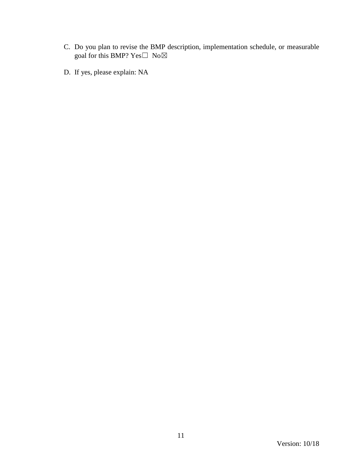- C. Do you plan to revise the BMP description, implementation schedule, or measurable goal for this BMP?  $Yes \Box No \boxtimes$
- D. If yes, please explain: NA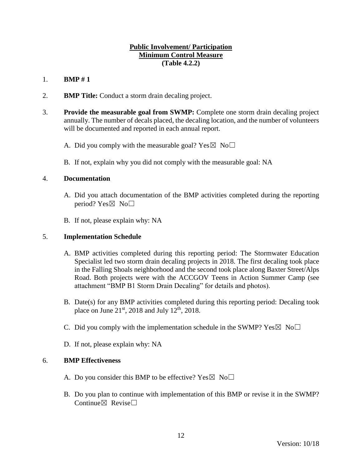## **Public Involvement/ Participation Minimum Control Measure (Table 4.2.2)**

# 1. **BMP # 1**

- 2. **BMP Title:** Conduct a storm drain decaling project.
- 3. **Provide the measurable goal from SWMP:** Complete one storm drain decaling project annually. The number of decals placed, the decaling location, and the number of volunteers will be documented and reported in each annual report.
	- A. Did you comply with the measurable goal? Yes  $\boxtimes$  No $\Box$
	- B. If not, explain why you did not comply with the measurable goal: NA

### 4. **Documentation**

- A. Did you attach documentation of the BMP activities completed during the reporting period? Yes $\boxtimes$  No $\square$
- B. If not, please explain why: NA

### 5. **Implementation Schedule**

- A. BMP activities completed during this reporting period: The Stormwater Education Specialist led two storm drain decaling projects in 2018. The first decaling took place in the Falling Shoals neighborhood and the second took place along Baxter Street/Alps Road. Both projects were with the ACCGOV Teens in Action Summer Camp (see attachment "BMP B1 Storm Drain Decaling" for details and photos).
- B. Date(s) for any BMP activities completed during this reporting period: Decaling took place on June  $21<sup>st</sup>$ , 2018 and July 12<sup>th</sup>, 2018.
- C. Did you comply with the implementation schedule in the SWMP?  $Yes \boxtimes No \square$
- D. If not, please explain why: NA

- A. Do you consider this BMP to be effective? Yes  $\boxtimes$  No $\Box$
- B. Do you plan to continue with implementation of this BMP or revise it in the SWMP? Continue $\nabla$  Revise $\nabla$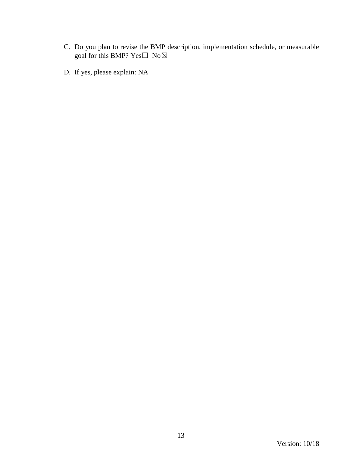- C. Do you plan to revise the BMP description, implementation schedule, or measurable goal for this BMP?  $Yes \Box No \boxtimes$
- D. If yes, please explain: NA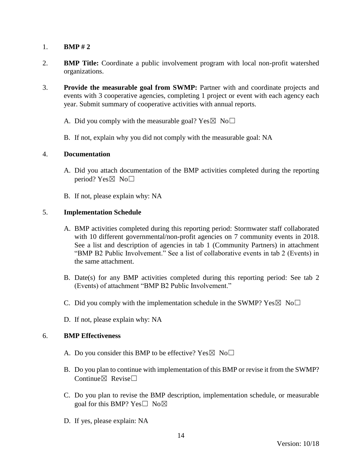- 2. **BMP Title:** Coordinate a public involvement program with local non-profit watershed organizations.
- 3. **Provide the measurable goal from SWMP:** Partner with and coordinate projects and events with 3 cooperative agencies, completing 1 project or event with each agency each year. Submit summary of cooperative activities with annual reports.
	- A. Did you comply with the measurable goal? Yes  $\boxtimes$  No $\Box$
	- B. If not, explain why you did not comply with the measurable goal: NA

#### 4. **Documentation**

- A. Did you attach documentation of the BMP activities completed during the reporting period? Yes $\boxtimes$  No $\square$
- B. If not, please explain why: NA

### 5. **Implementation Schedule**

- A. BMP activities completed during this reporting period: Stormwater staff collaborated with 10 different governmental/non-profit agencies on 7 community events in 2018. See a list and description of agencies in tab 1 (Community Partners) in attachment "BMP B2 Public Involvement." See a list of collaborative events in tab 2 (Events) in the same attachment.
- B. Date(s) for any BMP activities completed during this reporting period: See tab 2 (Events) of attachment "BMP B2 Public Involvement."
- C. Did you comply with the implementation schedule in the SWMP?  $Yes \boxtimes No \square$
- D. If not, please explain why: NA

- A. Do you consider this BMP to be effective? Yes  $\boxtimes$  No $\Box$
- B. Do you plan to continue with implementation of this BMP or revise it from the SWMP? Continue⊠ Revise□
- C. Do you plan to revise the BMP description, implementation schedule, or measurable goal for this BMP? Yes $\square$  No $\boxtimes$
- D. If yes, please explain: NA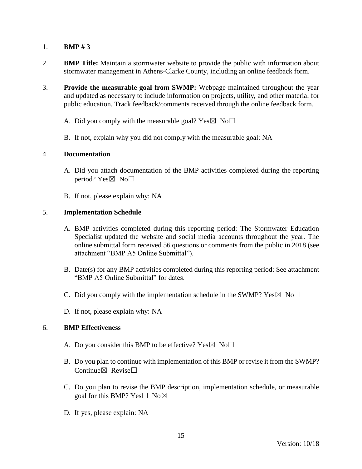- 2. **BMP Title:** Maintain a stormwater website to provide the public with information about stormwater management in Athens-Clarke County, including an online feedback form.
- 3. **Provide the measurable goal from SWMP:** Webpage maintained throughout the year and updated as necessary to include information on projects, utility, and other material for public education. Track feedback/comments received through the online feedback form.
	- A. Did you comply with the measurable goal? Yes  $\boxtimes$  No $\Box$
	- B. If not, explain why you did not comply with the measurable goal: NA

#### 4. **Documentation**

- A. Did you attach documentation of the BMP activities completed during the reporting period? Yes $\boxtimes$  No $\square$
- B. If not, please explain why: NA

### 5. **Implementation Schedule**

- A. BMP activities completed during this reporting period: The Stormwater Education Specialist updated the website and social media accounts throughout the year. The online submittal form received 56 questions or comments from the public in 2018 (see attachment "BMP A5 Online Submittal").
- B. Date(s) for any BMP activities completed during this reporting period: See attachment "BMP A5 Online Submittal" for dates.
- C. Did you comply with the implementation schedule in the SWMP?  $Yes \boxtimes No \square$
- D. If not, please explain why: NA

- A. Do you consider this BMP to be effective? Yes  $\boxtimes$  No $\Box$
- B. Do you plan to continue with implementation of this BMP or revise it from the SWMP? Continue $\nabla$  Revise $\nabla$
- C. Do you plan to revise the BMP description, implementation schedule, or measurable goal for this BMP? Yes□ No⊠
- D. If yes, please explain: NA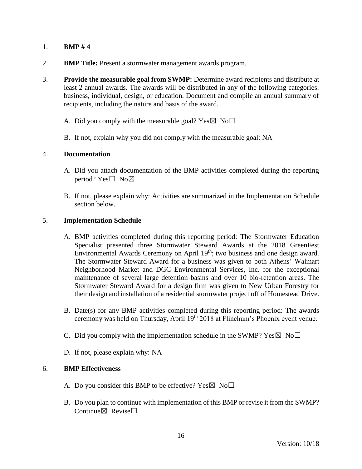- 2. **BMP Title:** Present a stormwater management awards program.
- 3. **Provide the measurable goal from SWMP:** Determine award recipients and distribute at least 2 annual awards. The awards will be distributed in any of the following categories: business, individual, design, or education. Document and compile an annual summary of recipients, including the nature and basis of the award.
	- A. Did you comply with the measurable goal? Yes  $\boxtimes$  No $\Box$
	- B. If not, explain why you did not comply with the measurable goal: NA

### 4. **Documentation**

- A. Did you attach documentation of the BMP activities completed during the reporting period? Yes□ No⊠
- B. If not, please explain why: Activities are summarized in the Implementation Schedule section below.

### 5. **Implementation Schedule**

- A. BMP activities completed during this reporting period: The Stormwater Education Specialist presented three Stormwater Steward Awards at the 2018 GreenFest Environmental Awards Ceremony on April 19<sup>th</sup>; two business and one design award. The Stormwater Steward Award for a business was given to both Athens' Walmart Neighborhood Market and DGC Environmental Services, Inc. for the exceptional maintenance of several large detention basins and over 10 bio-retention areas. The Stormwater Steward Award for a design firm was given to New Urban Forestry for their design and installation of a residential stormwater project off of Homestead Drive.
- B. Date(s) for any BMP activities completed during this reporting period: The awards ceremony was held on Thursday, April 19<sup>th</sup> 2018 at Flinchum's Phoenix event venue.
- C. Did you comply with the implementation schedule in the SWMP?  $Yes \boxtimes No \square$
- D. If not, please explain why: NA

- A. Do you consider this BMP to be effective? Yes  $\boxtimes$  No $\Box$
- B. Do you plan to continue with implementation of this BMP or revise it from the SWMP? Continue $\boxtimes$  Revise $\Box$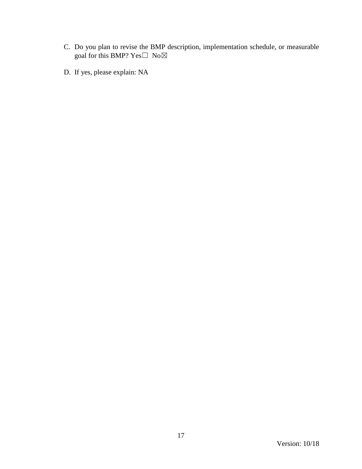- C. Do you plan to revise the BMP description, implementation schedule, or measurable goal for this BMP?  $Yes \Box No \boxtimes$
- D. If yes, please explain: NA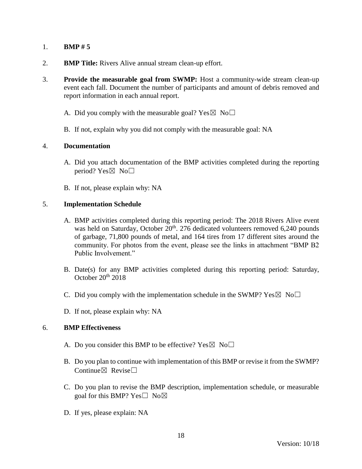- 2. **BMP Title:** Rivers Alive annual stream clean-up effort.
- 3. **Provide the measurable goal from SWMP:** Host a community-wide stream clean-up event each fall. Document the number of participants and amount of debris removed and report information in each annual report.
	- A. Did you comply with the measurable goal? Yes  $\boxtimes$  No $\Box$
	- B. If not, explain why you did not comply with the measurable goal: NA

#### 4. **Documentation**

- A. Did you attach documentation of the BMP activities completed during the reporting period? Yes $\boxtimes$  No $\square$
- B. If not, please explain why: NA

#### 5. **Implementation Schedule**

- A. BMP activities completed during this reporting period: The 2018 Rivers Alive event was held on Saturday, October 20<sup>th</sup>. 276 dedicated volunteers removed 6,240 pounds of garbage, 71,800 pounds of metal, and 164 tires from 17 different sites around the community. For photos from the event, please see the links in attachment "BMP B2 Public Involvement."
- B. Date(s) for any BMP activities completed during this reporting period: Saturday, October 20th 2018
- C. Did you comply with the implementation schedule in the SWMP?  $Yes \boxtimes No \square$
- D. If not, please explain why: NA

- A. Do you consider this BMP to be effective? Yes  $\boxtimes$  No $\Box$
- B. Do you plan to continue with implementation of this BMP or revise it from the SWMP? Continue $\nabla$  Revise $\nabla$
- C. Do you plan to revise the BMP description, implementation schedule, or measurable goal for this BMP? Yes $\square$  No $\boxtimes$
- D. If yes, please explain: NA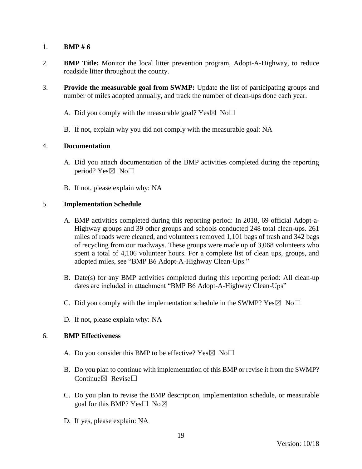- 2. **BMP Title:** Monitor the local litter prevention program, Adopt-A-Highway, to reduce roadside litter throughout the county.
- 3. **Provide the measurable goal from SWMP:** Update the list of participating groups and number of miles adopted annually, and track the number of clean-ups done each year.
	- A. Did you comply with the measurable goal? Yes  $\boxtimes$  No $\Box$
	- B. If not, explain why you did not comply with the measurable goal: NA

#### 4. **Documentation**

- A. Did you attach documentation of the BMP activities completed during the reporting period? Yes $\boxtimes$  No $\square$
- B. If not, please explain why: NA

### 5. **Implementation Schedule**

- A. BMP activities completed during this reporting period: In 2018, 69 official Adopt-a-Highway groups and 39 other groups and schools conducted 248 total clean-ups. 261 miles of roads were cleaned, and volunteers removed 1,101 bags of trash and 342 bags of recycling from our roadways. These groups were made up of 3,068 volunteers who spent a total of 4,106 volunteer hours. For a complete list of clean ups, groups, and adopted miles, see "BMP B6 Adopt-A-Highway Clean-Ups."
- B. Date(s) for any BMP activities completed during this reporting period: All clean-up dates are included in attachment "BMP B6 Adopt-A-Highway Clean-Ups"
- C. Did you comply with the implementation schedule in the SWMP?  $Yes \boxtimes No \square$
- D. If not, please explain why: NA

- A. Do you consider this BMP to be effective? Yes  $\boxtimes$  No $\Box$
- B. Do you plan to continue with implementation of this BMP or revise it from the SWMP? Continue $\boxtimes$  Revise $\Box$
- C. Do you plan to revise the BMP description, implementation schedule, or measurable goal for this BMP? Yes $\square$  No $\boxtimes$
- D. If yes, please explain: NA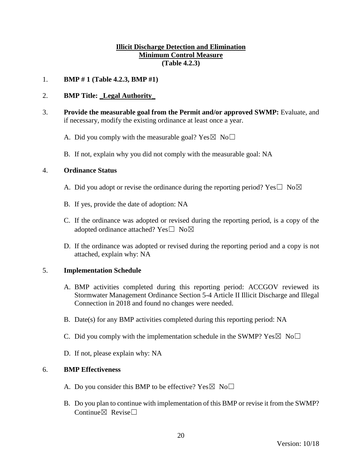## **Illicit Discharge Detection and Elimination Minimum Control Measure (Table 4.2.3)**

### 1. **BMP # 1 (Table 4.2.3, BMP #1)**

### 2. **BMP Title:** \_**Legal Authority**\_

- 3. **Provide the measurable goal from the Permit and/or approved SWMP:** Evaluate, and if necessary, modify the existing ordinance at least once a year.
	- A. Did you comply with the measurable goal? Yes  $\boxtimes$  No $\Box$
	- B. If not, explain why you did not comply with the measurable goal: NA

### 4. **Ordinance Status**

- A. Did you adopt or revise the ordinance during the reporting period? Yes  $\Box$  No $\boxtimes$
- B. If yes, provide the date of adoption: NA
- C. If the ordinance was adopted or revised during the reporting period, is a copy of the adopted ordinance attached? Yes $\square$  No $\boxtimes$
- D. If the ordinance was adopted or revised during the reporting period and a copy is not attached, explain why: NA

#### 5. **Implementation Schedule**

- A. BMP activities completed during this reporting period: ACCGOV reviewed its Stormwater Management Ordinance Section 5-4 Article II Illicit Discharge and Illegal Connection in 2018 and found no changes were needed.
- B. Date(s) for any BMP activities completed during this reporting period: NA
- C. Did you comply with the implementation schedule in the SWMP?  $Yes \boxtimes No \square$
- D. If not, please explain why: NA

- A. Do you consider this BMP to be effective? Yes  $\boxtimes$  No $\Box$
- B. Do you plan to continue with implementation of this BMP or revise it from the SWMP? Continue $\boxtimes$  Revise $\Box$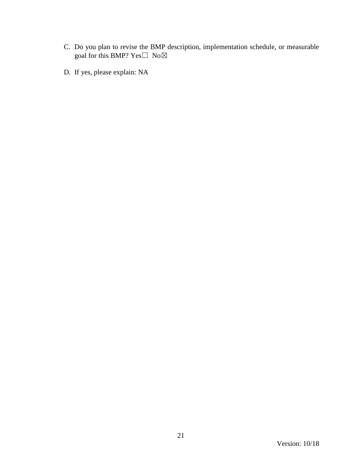- C. Do you plan to revise the BMP description, implementation schedule, or measurable goal for this BMP?  $Yes \Box No \boxtimes$
- D. If yes, please explain: NA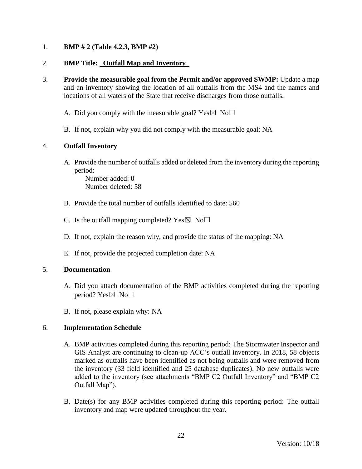## 1. **BMP # 2 (Table 4.2.3, BMP #2)**

### 2. **BMP Title:** \_**Outfall Map and Inventory**\_

3. **Provide the measurable goal from the Permit and/or approved SWMP:** Update a map and an inventory showing the location of all outfalls from the MS4 and the names and locations of all waters of the State that receive discharges from those outfalls.

A. Did you comply with the measurable goal? Yes  $\boxtimes$  No $\Box$ 

B. If not, explain why you did not comply with the measurable goal: NA

### 4. **Outfall Inventory**

A. Provide the number of outfalls added or deleted from the inventory during the reporting period:

Number added: 0 Number deleted: 58

- B. Provide the total number of outfalls identified to date: 560
- C. Is the outfall mapping completed?  $Yes \boxtimes No \square$
- D. If not, explain the reason why, and provide the status of the mapping: NA
- E. If not, provide the projected completion date: NA

#### 5. **Documentation**

- A. Did you attach documentation of the BMP activities completed during the reporting period? Yes $\boxtimes$  No $\square$
- B. If not, please explain why: NA

# 6. **Implementation Schedule**

- A. BMP activities completed during this reporting period: The Stormwater Inspector and GIS Analyst are continuing to clean-up ACC's outfall inventory. In 2018, 58 objects marked as outfalls have been identified as not being outfalls and were removed from the inventory (33 field identified and 25 database duplicates). No new outfalls were added to the inventory (see attachments "BMP C2 Outfall Inventory" and "BMP C2 Outfall Map").
- B. Date(s) for any BMP activities completed during this reporting period: The outfall inventory and map were updated throughout the year.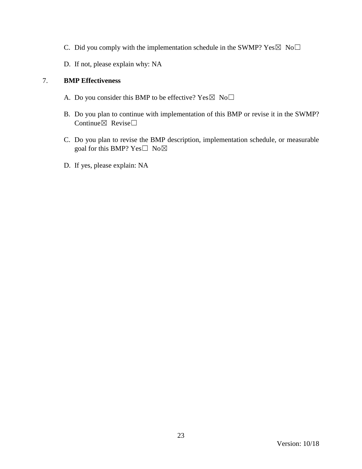- C. Did you comply with the implementation schedule in the SWMP?  $Yes \boxtimes No \square$
- D. If not, please explain why: NA

- A. Do you consider this BMP to be effective? Yes  $\boxtimes$  No $\Box$
- B. Do you plan to continue with implementation of this BMP or revise it in the SWMP? Continue $\boxtimes$  Revise $\Box$
- C. Do you plan to revise the BMP description, implementation schedule, or measurable goal for this BMP? Yes□ No⊠
- D. If yes, please explain: NA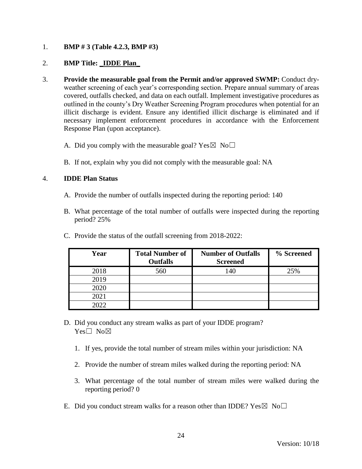## 1. **BMP # 3 (Table 4.2.3, BMP #3)**

### 2. **BMP Title:** \_**IDDE Plan**\_

- 3. **Provide the measurable goal from the Permit and/or approved SWMP:** Conduct dryweather screening of each year's corresponding section. Prepare annual summary of areas covered, outfalls checked, and data on each outfall. Implement investigative procedures as outlined in the county's Dry Weather Screening Program procedures when potential for an illicit discharge is evident. Ensure any identified illicit discharge is eliminated and if necessary implement enforcement procedures in accordance with the Enforcement Response Plan (upon acceptance).
	- A. Did you comply with the measurable goal? Yes  $\boxtimes$  No $\Box$
	- B. If not, explain why you did not comply with the measurable goal: NA

#### 4. **IDDE Plan Status**

- A. Provide the number of outfalls inspected during the reporting period: 140
- B. What percentage of the total number of outfalls were inspected during the reporting period? 25%

| Year | <b>Total Number of</b><br><b>Outfalls</b> | <b>Number of Outfalls</b><br><b>Screened</b> | % Screened |
|------|-------------------------------------------|----------------------------------------------|------------|
| 2018 | 560                                       | 140                                          | 25%        |
| 2019 |                                           |                                              |            |
| 2020 |                                           |                                              |            |
| 2021 |                                           |                                              |            |
| 2022 |                                           |                                              |            |

C. Provide the status of the outfall screening from 2018-2022:

- D. Did you conduct any stream walks as part of your IDDE program? Yes□ No⊠
	- 1. If yes, provide the total number of stream miles within your jurisdiction: NA
	- 2. Provide the number of stream miles walked during the reporting period: NA
	- 3. What percentage of the total number of stream miles were walked during the reporting period? 0
- E. Did you conduct stream walks for a reason other than IDDE?  $Yes \boxtimes No \square$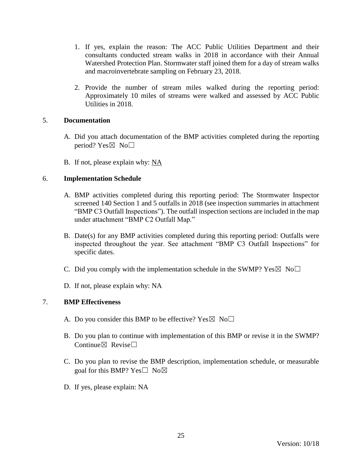- 1. If yes, explain the reason: The ACC Public Utilities Department and their consultants conducted stream walks in 2018 in accordance with their Annual Watershed Protection Plan. Stormwater staff joined them for a day of stream walks and macroinvertebrate sampling on February 23, 2018.
- 2. Provide the number of stream miles walked during the reporting period: Approximately 10 miles of streams were walked and assessed by ACC Public Utilities in 2018.

### 5. **Documentation**

- A. Did you attach documentation of the BMP activities completed during the reporting period? Yes $\boxtimes$  No $\square$
- B. If not, please explain why: NA

### 6. **Implementation Schedule**

- A. BMP activities completed during this reporting period: The Stormwater Inspector screened 140 Section 1 and 5 outfalls in 2018 (see inspection summaries in attachment "BMP C3 Outfall Inspections"). The outfall inspection sections are included in the map under attachment "BMP C2 Outfall Map."
- B. Date(s) for any BMP activities completed during this reporting period: Outfalls were inspected throughout the year. See attachment "BMP C3 Outfall Inspections" for specific dates.
- C. Did you comply with the implementation schedule in the SWMP?  $Yes \boxtimes No \square$
- D. If not, please explain why: NA

- A. Do you consider this BMP to be effective? Yes  $\boxtimes$  No $\Box$
- B. Do you plan to continue with implementation of this BMP or revise it in the SWMP? Continue $\boxtimes$  Revise $\Box$
- C. Do you plan to revise the BMP description, implementation schedule, or measurable goal for this BMP? Yes $\square$  No $\boxtimes$
- D. If yes, please explain: NA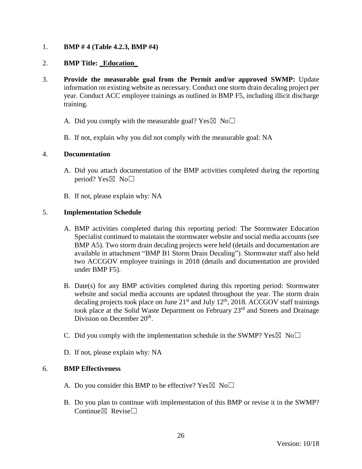1. **BMP # 4 (Table 4.2.3, BMP #4)**

## 2. **BMP Title:** \_**Education**\_

- 3. **Provide the measurable goal from the Permit and/or approved SWMP:** Update information on existing website as necessary. Conduct one storm drain decaling project per year. Conduct ACC employee trainings as outlined in BMP F5, including illicit discharge training.
	- A. Did you comply with the measurable goal? Yes  $\boxtimes$  No $\Box$
	- B. If not, explain why you did not comply with the measurable goal: NA

#### 4. **Documentation**

- A. Did you attach documentation of the BMP activities completed during the reporting period? Yes $\boxtimes$  No $\square$
- B. If not, please explain why: NA

### 5. **Implementation Schedule**

- A. BMP activities completed during this reporting period: The Stormwater Education Specialist continued to maintain the stormwater website and social media accounts (see BMP A5). Two storm drain decaling projects were held (details and documentation are available in attachment "BMP B1 Storm Drain Decaling"). Stormwater staff also held two ACCGOV employee trainings in 2018 (details and documentation are provided under BMP F5).
- B. Date(s) for any BMP activities completed during this reporting period: Stormwater website and social media accounts are updated throughout the year. The storm drain decaling projects took place on June  $21<sup>st</sup>$  and July  $12<sup>th</sup>$ , 2018. ACCGOV staff trainings took place at the Solid Waste Department on February 23<sup>rd</sup> and Streets and Drainage Division on December 20<sup>th</sup>.
- C. Did you comply with the implementation schedule in the SWMP?  $Yes \boxtimes No \square$
- D. If not, please explain why: NA

- A. Do you consider this BMP to be effective? Yes  $\boxtimes$  No $\Box$
- B. Do you plan to continue with implementation of this BMP or revise it in the SWMP? Continue $\boxtimes$  Revise $\Box$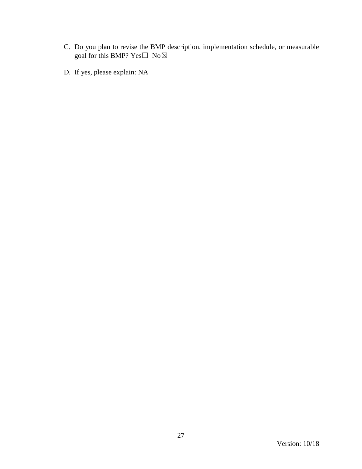- C. Do you plan to revise the BMP description, implementation schedule, or measurable goal for this BMP?  $Yes \Box No \boxtimes$
- D. If yes, please explain: NA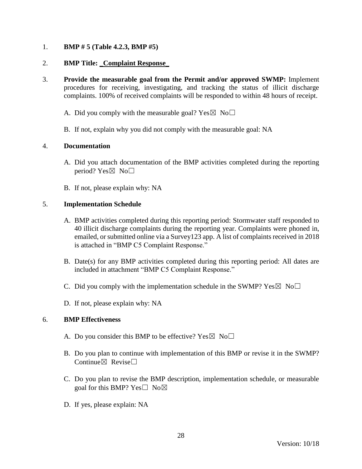## 1. **BMP # 5 (Table 4.2.3, BMP #5)**

### 2. **BMP Title:** \_**Complaint Response**\_

- 3. **Provide the measurable goal from the Permit and/or approved SWMP:** Implement procedures for receiving, investigating, and tracking the status of illicit discharge complaints. 100% of received complaints will be responded to within 48 hours of receipt.
	- A. Did you comply with the measurable goal? Yes  $\boxtimes$  No $\Box$
	- B. If not, explain why you did not comply with the measurable goal: NA

### 4. **Documentation**

- A. Did you attach documentation of the BMP activities completed during the reporting period? Yes $\boxtimes$  No $\square$
- B. If not, please explain why: NA

#### 5. **Implementation Schedule**

- A. BMP activities completed during this reporting period: Stormwater staff responded to 40 illicit discharge complaints during the reporting year. Complaints were phoned in, emailed, or submitted online via a Survey123 app. A list of complaints received in 2018 is attached in "BMP C5 Complaint Response."
- B. Date(s) for any BMP activities completed during this reporting period: All dates are included in attachment "BMP C5 Complaint Response."
- C. Did you comply with the implementation schedule in the SWMP?  $Yes \boxtimes No \square$
- D. If not, please explain why: NA

- A. Do you consider this BMP to be effective? Yes  $\boxtimes$  No $\Box$
- B. Do you plan to continue with implementation of this BMP or revise it in the SWMP? Continue $\boxtimes$  Revise $\Box$
- C. Do you plan to revise the BMP description, implementation schedule, or measurable goal for this BMP? Yes□ No⊠
- D. If yes, please explain: NA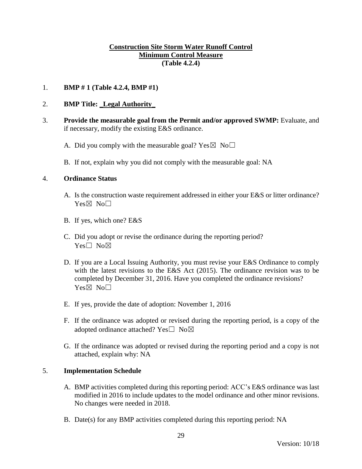## **Construction Site Storm Water Runoff Control Minimum Control Measure (Table 4.2.4)**

### 1. **BMP # 1 (Table 4.2.4, BMP #1)**

### 2. **BMP Title:** \_**Legal Authority**\_

- 3. **Provide the measurable goal from the Permit and/or approved SWMP:** Evaluate, and if necessary, modify the existing E&S ordinance.
	- A. Did you comply with the measurable goal? Yes  $\boxtimes$  No $\Box$
	- B. If not, explain why you did not comply with the measurable goal: NA

#### 4. **Ordinance Status**

- A. Is the construction waste requirement addressed in either your E&S or litter ordinance?  $Yes \boxtimes No \Box$
- B. If yes, which one? E&S
- C. Did you adopt or revise the ordinance during the reporting period? Yes□ No⊠
- D. If you are a Local Issuing Authority, you must revise your E&S Ordinance to comply with the latest revisions to the E&S Act (2015). The ordinance revision was to be completed by December 31, 2016. Have you completed the ordinance revisions? Yes⊠ No□
- E. If yes, provide the date of adoption: November 1, 2016
- F. If the ordinance was adopted or revised during the reporting period, is a copy of the adopted ordinance attached? Yes $\square$  No $\boxtimes$
- G. If the ordinance was adopted or revised during the reporting period and a copy is not attached, explain why: NA

#### 5. **Implementation Schedule**

- A. BMP activities completed during this reporting period: ACC's E&S ordinance was last modified in 2016 to include updates to the model ordinance and other minor revisions. No changes were needed in 2018.
- B. Date(s) for any BMP activities completed during this reporting period: NA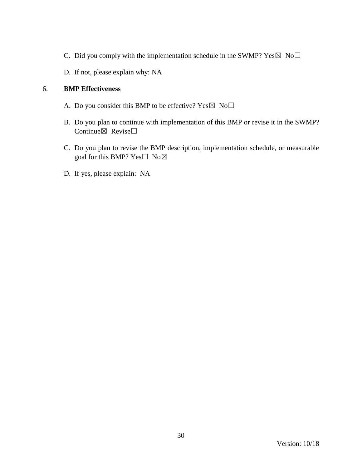- C. Did you comply with the implementation schedule in the SWMP?  $Yes \boxtimes No \square$
- D. If not, please explain why: NA

- A. Do you consider this BMP to be effective? Yes  $\boxtimes$  No $\Box$
- B. Do you plan to continue with implementation of this BMP or revise it in the SWMP? Continue $\boxtimes$  Revise $\Box$
- C. Do you plan to revise the BMP description, implementation schedule, or measurable goal for this BMP? Yes $\square$  No $\boxtimes$
- D. If yes, please explain: NA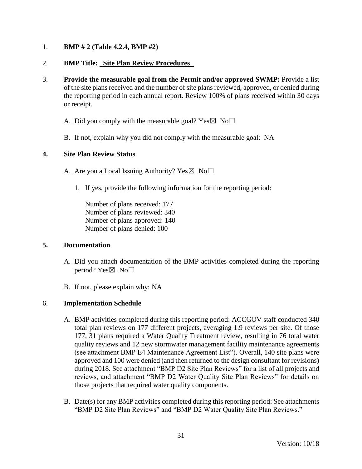## 1. **BMP # 2 (Table 4.2.4, BMP #2)**

### 2. **BMP Title:** \_**Site Plan Review Procedures**\_

- 3. **Provide the measurable goal from the Permit and/or approved SWMP:** Provide a list of the site plans received and the number of site plans reviewed, approved, or denied during the reporting period in each annual report. Review 100% of plans received within 30 days or receipt.
	- A. Did you comply with the measurable goal? Yes  $\boxtimes$  No $\Box$
	- B. If not, explain why you did not comply with the measurable goal: NA

### **4. Site Plan Review Status**

- A. Are you a Local Issuing Authority? Yes  $\boxtimes$  No $\Box$ 
	- 1. If yes, provide the following information for the reporting period:

Number of plans received: 177 Number of plans reviewed: 340 Number of plans approved: 140 Number of plans denied: 100

#### **5. Documentation**

- A. Did you attach documentation of the BMP activities completed during the reporting period? Yes $\boxtimes$  No $\square$
- B. If not, please explain why: NA

#### 6. **Implementation Schedule**

- A. BMP activities completed during this reporting period: ACCGOV staff conducted 340 total plan reviews on 177 different projects, averaging 1.9 reviews per site. Of those 177, 31 plans required a Water Quality Treatment review, resulting in 76 total water quality reviews and 12 new stormwater management facility maintenance agreements (see attachment BMP E4 Maintenance Agreement List"). Overall, 140 site plans were approved and 100 were denied (and then returned to the design consultant for revisions) during 2018. See attachment "BMP D2 Site Plan Reviews" for a list of all projects and reviews, and attachment "BMP D2 Water Quality Site Plan Reviews" for details on those projects that required water quality components.
- B. Date(s) for any BMP activities completed during this reporting period: See attachments "BMP D2 Site Plan Reviews" and "BMP D2 Water Quality Site Plan Reviews."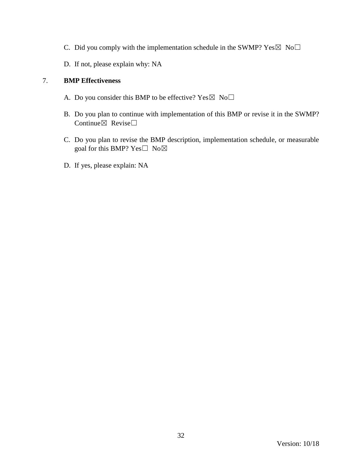- C. Did you comply with the implementation schedule in the SWMP?  $Yes \boxtimes No \square$
- D. If not, please explain why: NA

- A. Do you consider this BMP to be effective? Yes  $\boxtimes$  No $\Box$
- B. Do you plan to continue with implementation of this BMP or revise it in the SWMP? Continue $\boxtimes$  Revise $\Box$
- C. Do you plan to revise the BMP description, implementation schedule, or measurable goal for this BMP? Yes□ No⊠
- D. If yes, please explain: NA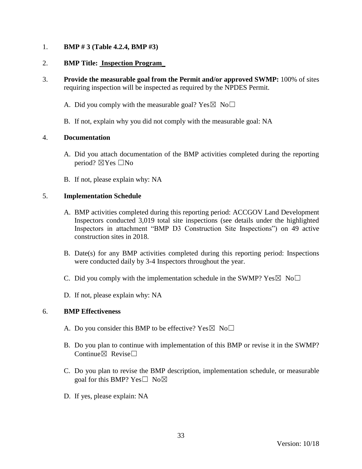## 1. **BMP # 3 (Table 4.2.4, BMP #3)**

### 2. **BMP Title: Inspection Program**\_

- 3. **Provide the measurable goal from the Permit and/or approved SWMP:** 100% of sites requiring inspection will be inspected as required by the NPDES Permit.
	- A. Did you comply with the measurable goal? Yes  $\boxtimes$  No $\Box$
	- B. If not, explain why you did not comply with the measurable goal: NA

#### 4. **Documentation**

- A. Did you attach documentation of the BMP activities completed during the reporting period? ☒Yes ☐No
- B. If not, please explain why: NA

#### 5. **Implementation Schedule**

- A. BMP activities completed during this reporting period: ACCGOV Land Development Inspectors conducted 3,019 total site inspections (see details under the highlighted Inspectors in attachment "BMP D3 Construction Site Inspections") on 49 active construction sites in 2018.
- B. Date(s) for any BMP activities completed during this reporting period: Inspections were conducted daily by 3-4 Inspectors throughout the year.
- C. Did you comply with the implementation schedule in the SWMP?  $Yes \boxtimes No \square$
- D. If not, please explain why: NA

- A. Do you consider this BMP to be effective? Yes  $\boxtimes$  No $\Box$
- B. Do you plan to continue with implementation of this BMP or revise it in the SWMP? Continue $\boxtimes$  Revise $\Box$
- C. Do you plan to revise the BMP description, implementation schedule, or measurable goal for this BMP? Yes $\square$  No $\boxtimes$
- D. If yes, please explain: NA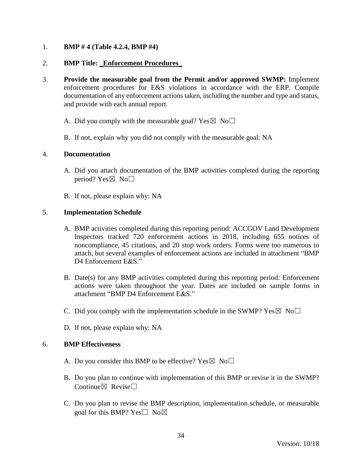### 1. **BMP # 4 (Table 4.2.4, BMP #4)**

### 2. **BMP Title:** \_**Enforcement Procedures**\_

- 3. **Provide the measurable goal from the Permit and/or approved SWMP:** Implement enforcement procedures for E&S violations in accordance with the ERP. Compile documentation of any enforcement actions taken, including the number and type and status, and provide with each annual report.
	- A. Did you comply with the measurable goal? Yes  $\boxtimes$  No $\Box$
	- B. If not, explain why you did not comply with the measurable goal: NA

#### 4. **Documentation**

- A. Did you attach documentation of the BMP activities completed during the reporting period? Yes $\boxtimes$  No $\square$
- B. If not, please explain why: NA

### 5. **Implementation Schedule**

- A. BMP activities completed during this reporting period: ACCGOV Land Development Inspectors tracked 720 enforcement actions in 2018, including 655 notices of noncompliance, 45 citations, and 20 stop work orders. Forms were too numerous to attach, but several examples of enforcement actions are included in attachment "BMP D4 Enforcement E&S."
- B. Date(s) for any BMP activities completed during this reporting period: Enforcement actions were taken throughout the year. Dates are included on sample forms in attachment "BMP D4 Enforcement E&S."
- C. Did you comply with the implementation schedule in the SWMP?  $Yes \boxtimes No \square$
- D. If not, please explain why: NA

- A. Do you consider this BMP to be effective? Yes  $\boxtimes$  No $\Box$
- B. Do you plan to continue with implementation of this BMP or revise it in the SWMP? Continue $\nabla$  Revise $\nabla$
- C. Do you plan to revise the BMP description, implementation schedule, or measurable goal for this BMP? Yes $\square$  No $\boxtimes$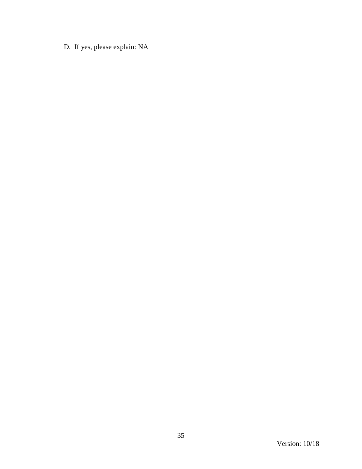D. If yes, please explain: NA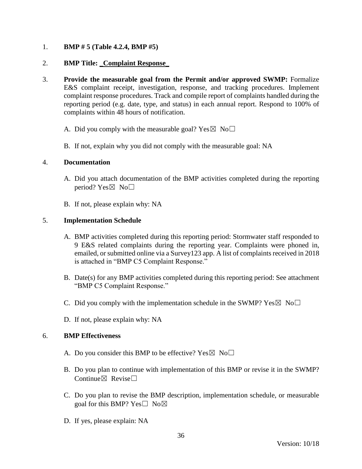## 1. **BMP # 5 (Table 4.2.4, BMP #5)**

### 2. **BMP Title:** \_**Complaint Response**\_

- 3. **Provide the measurable goal from the Permit and/or approved SWMP:** Formalize E&S complaint receipt, investigation, response, and tracking procedures. Implement complaint response procedures. Track and compile report of complaints handled during the reporting period (e.g. date, type, and status) in each annual report. Respond to 100% of complaints within 48 hours of notification.
	- A. Did you comply with the measurable goal? Yes  $\boxtimes$  No $\Box$
	- B. If not, explain why you did not comply with the measurable goal: NA

#### 4. **Documentation**

- A. Did you attach documentation of the BMP activities completed during the reporting period? Yes $\boxtimes$  No $\square$
- B. If not, please explain why: NA

#### 5. **Implementation Schedule**

- A. BMP activities completed during this reporting period: Stormwater staff responded to 9 E&S related complaints during the reporting year. Complaints were phoned in, emailed, or submitted online via a Survey123 app. A list of complaints received in 2018 is attached in "BMP C5 Complaint Response."
- B. Date(s) for any BMP activities completed during this reporting period: See attachment "BMP C5 Complaint Response."
- C. Did you comply with the implementation schedule in the SWMP?  $Yes \boxtimes No \square$
- D. If not, please explain why: NA

- A. Do you consider this BMP to be effective? Yes  $\boxtimes$  No $\Box$
- B. Do you plan to continue with implementation of this BMP or revise it in the SWMP? Continue $\boxtimes$  Revise $\Box$
- C. Do you plan to revise the BMP description, implementation schedule, or measurable goal for this BMP? Yes $\square$  No $\boxtimes$
- D. If yes, please explain: NA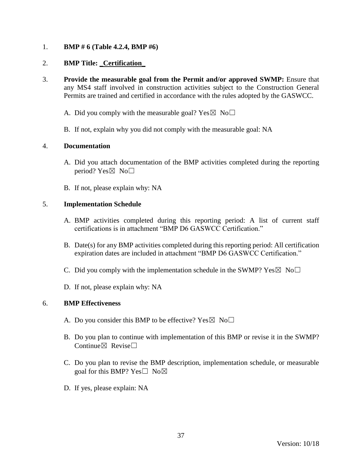## 1. **BMP # 6 (Table 4.2.4, BMP #6)**

### 2. **BMP Title:** \_**Certification**\_

- 3. **Provide the measurable goal from the Permit and/or approved SWMP:** Ensure that any MS4 staff involved in construction activities subject to the Construction General Permits are trained and certified in accordance with the rules adopted by the GASWCC.
	- A. Did you comply with the measurable goal? Yes  $\boxtimes$  No $\Box$
	- B. If not, explain why you did not comply with the measurable goal: NA

### 4. **Documentation**

- A. Did you attach documentation of the BMP activities completed during the reporting period? Yes $\boxtimes$  No $\square$
- B. If not, please explain why: NA

### 5. **Implementation Schedule**

- A. BMP activities completed during this reporting period: A list of current staff certifications is in attachment "BMP D6 GASWCC Certification."
- B. Date(s) for any BMP activities completed during this reporting period: All certification expiration dates are included in attachment "BMP D6 GASWCC Certification."
- C. Did you comply with the implementation schedule in the SWMP?  $Yes \boxtimes No \square$
- D. If not, please explain why: NA

- A. Do you consider this BMP to be effective? Yes  $\boxtimes$  No $\Box$
- B. Do you plan to continue with implementation of this BMP or revise it in the SWMP? Continue $\nabla$  Revise $\Box$
- C. Do you plan to revise the BMP description, implementation schedule, or measurable goal for this BMP? Yes $\square$  No $\boxtimes$
- D. If yes, please explain: NA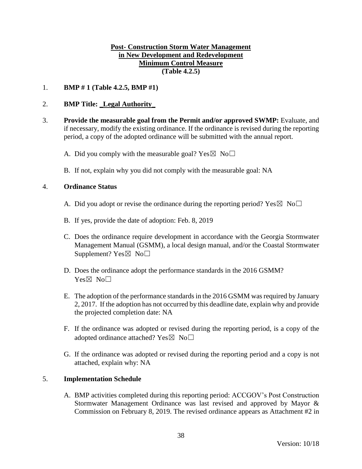### **Post- Construction Storm Water Management in New Development and Redevelopment Minimum Control Measure (Table 4.2.5)**

### 1. **BMP # 1 (Table 4.2.5, BMP #1)**

### 2. **BMP Title:** \_**Legal Authority**\_

- 3. **Provide the measurable goal from the Permit and/or approved SWMP:** Evaluate, and if necessary, modify the existing ordinance. If the ordinance is revised during the reporting period, a copy of the adopted ordinance will be submitted with the annual report.
	- A. Did you comply with the measurable goal? Yes  $\boxtimes$  No $\Box$
	- B. If not, explain why you did not comply with the measurable goal: NA

#### 4. **Ordinance Status**

- A. Did you adopt or revise the ordinance during the reporting period? Yes  $\boxtimes$  No $\Box$
- B. If yes, provide the date of adoption: Feb. 8, 2019
- C. Does the ordinance require development in accordance with the Georgia Stormwater Management Manual (GSMM), a local design manual, and/or the Coastal Stormwater Supplement?  $Yes \boxtimes No \square$
- D. Does the ordinance adopt the performance standards in the 2016 GSMM? Yes⊠ No□
- E. The adoption of the performance standards in the 2016 GSMM was required by January 2, 2017. If the adoption has not occurred by this deadline date, explain why and provide the projected completion date: NA
- F. If the ordinance was adopted or revised during the reporting period, is a copy of the adopted ordinance attached? Yes $\boxtimes$  No $\Box$
- G. If the ordinance was adopted or revised during the reporting period and a copy is not attached, explain why: NA

#### 5. **Implementation Schedule**

A. BMP activities completed during this reporting period: ACCGOV's Post Construction Stormwater Management Ordinance was last revised and approved by Mayor & Commission on February 8, 2019. The revised ordinance appears as Attachment #2 in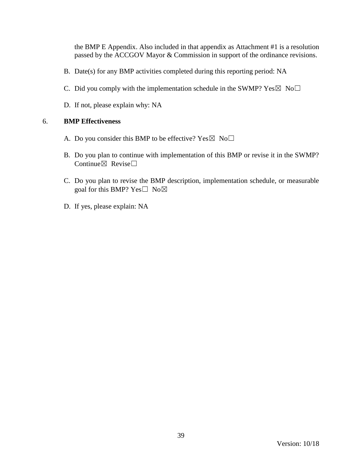the BMP E Appendix. Also included in that appendix as Attachment #1 is a resolution passed by the ACCGOV Mayor & Commission in support of the ordinance revisions.

- B. Date(s) for any BMP activities completed during this reporting period: NA
- C. Did you comply with the implementation schedule in the SWMP?  $Yes \boxtimes No \square$
- D. If not, please explain why: NA

- A. Do you consider this BMP to be effective? Yes  $\boxtimes$  No $\Box$
- B. Do you plan to continue with implementation of this BMP or revise it in the SWMP? Continue $\boxtimes$  Revise $\Box$
- C. Do you plan to revise the BMP description, implementation schedule, or measurable goal for this BMP? Yes□ No⊠
- D. If yes, please explain: NA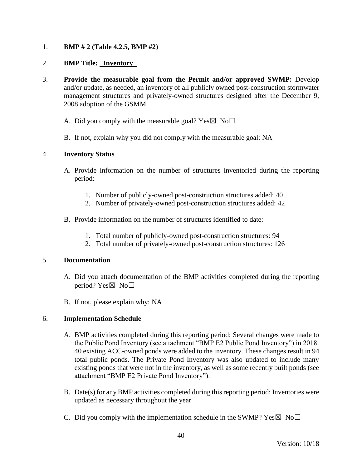# 1. **BMP # 2 (Table 4.2.5, BMP #2)**

## 2. **BMP Title:** \_**Inventory**\_

- 3. **Provide the measurable goal from the Permit and/or approved SWMP:** Develop and/or update, as needed, an inventory of all publicly owned post-construction stormwater management structures and privately-owned structures designed after the December 9, 2008 adoption of the GSMM.
	- A. Did you comply with the measurable goal? Yes  $\boxtimes$  No $\Box$
	- B. If not, explain why you did not comply with the measurable goal: NA

### 4. **Inventory Status**

- A. Provide information on the number of structures inventoried during the reporting period:
	- 1. Number of publicly-owned post-construction structures added: 40
	- 2. Number of privately-owned post-construction structures added: 42
- B. Provide information on the number of structures identified to date:
	- 1. Total number of publicly-owned post-construction structures: 94
	- 2. Total number of privately-owned post-construction structures: 126

#### 5. **Documentation**

- A. Did you attach documentation of the BMP activities completed during the reporting period? Yes $\boxtimes$  No $\square$
- B. If not, please explain why: NA

# 6. **Implementation Schedule**

- A. BMP activities completed during this reporting period: Several changes were made to the Public Pond Inventory (see attachment "BMP E2 Public Pond Inventory") in 2018. 40 existing ACC-owned ponds were added to the inventory. These changes result in 94 total public ponds. The Private Pond Inventory was also updated to include many existing ponds that were not in the inventory, as well as some recently built ponds (see attachment "BMP E2 Private Pond Inventory").
- B. Date(s) for any BMP activities completed during this reporting period: Inventories were updated as necessary throughout the year.
- C. Did you comply with the implementation schedule in the SWMP?  $Yes \boxtimes No \square$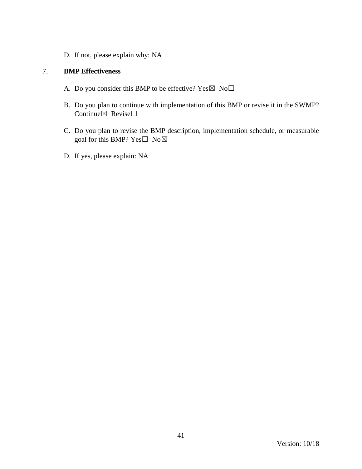D. If not, please explain why: NA

- A. Do you consider this BMP to be effective? Yes $\boxtimes$  No $\Box$
- B. Do you plan to continue with implementation of this BMP or revise it in the SWMP? Continue⊠ Revise□
- C. Do you plan to revise the BMP description, implementation schedule, or measurable goal for this BMP? Yes□ No⊠
- D. If yes, please explain: NA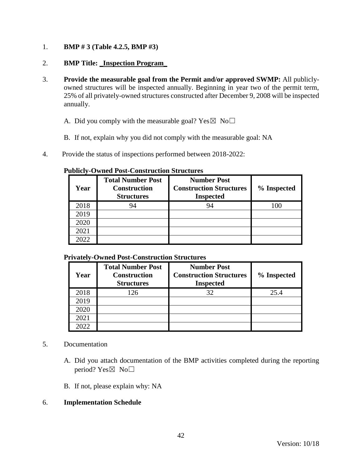1. **BMP # 3 (Table 4.2.5, BMP #3)**

# 2. **BMP Title:** \_**Inspection Program**\_

- 3. **Provide the measurable goal from the Permit and/or approved SWMP:** All publiclyowned structures will be inspected annually. Beginning in year two of the permit term, 25% of all privately-owned structures constructed after December 9, 2008 will be inspected annually.
	- A. Did you comply with the measurable goal? Yes  $\boxtimes$  No $\Box$
	- B. If not, explain why you did not comply with the measurable goal: NA
- 4. Provide the status of inspections performed between 2018-2022:

| Year | <b>Total Number Post</b><br><b>Construction</b><br><b>Structures</b> | <b>Number Post</b><br><b>Construction Structures</b><br><b>Inspected</b> | % Inspected |
|------|----------------------------------------------------------------------|--------------------------------------------------------------------------|-------------|
| 2018 | 94                                                                   | 94                                                                       | 100         |
| 2019 |                                                                      |                                                                          |             |
| 2020 |                                                                      |                                                                          |             |
| 2021 |                                                                      |                                                                          |             |
| 2022 |                                                                      |                                                                          |             |

#### **Publicly-Owned Post-Construction Structures**

### **Privately-Owned Post-Construction Structures**

| Year  | <b>Total Number Post</b><br><b>Construction</b><br><b>Structures</b> | <b>Number Post</b><br><b>Construction Structures</b><br><b>Inspected</b> | % Inspected |
|-------|----------------------------------------------------------------------|--------------------------------------------------------------------------|-------------|
| 2018  | 126                                                                  | 32                                                                       | 25.4        |
| 2019  |                                                                      |                                                                          |             |
| 2020  |                                                                      |                                                                          |             |
| 2021  |                                                                      |                                                                          |             |
| 2022. |                                                                      |                                                                          |             |

#### 5. Documentation

- A. Did you attach documentation of the BMP activities completed during the reporting period? Yes⊠ No□
- B. If not, please explain why: NA

#### 6. **Implementation Schedule**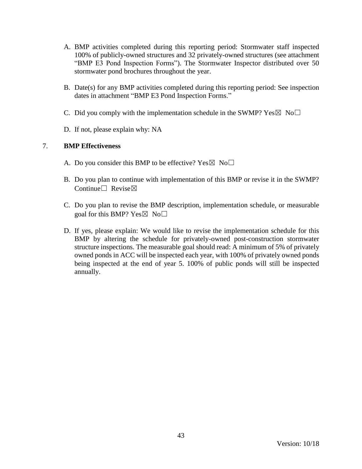- A. BMP activities completed during this reporting period: Stormwater staff inspected 100% of publicly-owned structures and 32 privately-owned structures (see attachment "BMP E3 Pond Inspection Forms"). The Stormwater Inspector distributed over 50 stormwater pond brochures throughout the year.
- B. Date(s) for any BMP activities completed during this reporting period: See inspection dates in attachment "BMP E3 Pond Inspection Forms."
- C. Did you comply with the implementation schedule in the SWMP?  $Yes \boxtimes No \square$
- D. If not, please explain why: NA

- A. Do you consider this BMP to be effective? Yes  $\boxtimes$  No $\Box$
- B. Do you plan to continue with implementation of this BMP or revise it in the SWMP? Continue□ Revise⊠
- C. Do you plan to revise the BMP description, implementation schedule, or measurable goal for this BMP?  $Yes \boxtimes No \square$
- D. If yes, please explain: We would like to revise the implementation schedule for this BMP by altering the schedule for privately-owned post-construction stormwater structure inspections. The measurable goal should read: A minimum of 5% of privately owned ponds in ACC will be inspected each year, with 100% of privately owned ponds being inspected at the end of year 5. 100% of public ponds will still be inspected annually.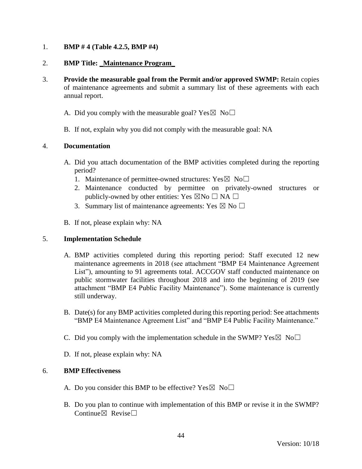## 1. **BMP # 4 (Table 4.2.5, BMP #4)**

### 2. **BMP Title:** \_**Maintenance Program**\_

- 3. **Provide the measurable goal from the Permit and/or approved SWMP:** Retain copies of maintenance agreements and submit a summary list of these agreements with each annual report.
	- A. Did you comply with the measurable goal? Yes  $\boxtimes$  No $\Box$
	- B. If not, explain why you did not comply with the measurable goal: NA

#### 4. **Documentation**

- A. Did you attach documentation of the BMP activities completed during the reporting period?
	- 1. Maintenance of permittee-owned structures:  $Yes \boxtimes No \square$
	- 2. Maintenance conducted by permittee on privately-owned structures or publicly-owned by other entities: Yes  $\boxtimes$ No  $\Box$  NA  $\Box$
	- 3. Summary list of maintenance agreements: Yes  $\boxtimes$  No  $\square$
- B. If not, please explain why: NA

#### 5. **Implementation Schedule**

- A. BMP activities completed during this reporting period: Staff executed 12 new maintenance agreements in 2018 (see attachment "BMP E4 Maintenance Agreement List"), amounting to 91 agreements total. ACCGOV staff conducted maintenance on public stormwater facilities throughout 2018 and into the beginning of 2019 (see attachment "BMP E4 Public Facility Maintenance"). Some maintenance is currently still underway.
- B. Date(s) for any BMP activities completed during this reporting period: See attachments "BMP E4 Maintenance Agreement List" and "BMP E4 Public Facility Maintenance."
- C. Did you comply with the implementation schedule in the SWMP?  $Yes \boxtimes No \square$
- D. If not, please explain why: NA

- A. Do you consider this BMP to be effective? Yes  $\boxtimes$  No $\Box$
- B. Do you plan to continue with implementation of this BMP or revise it in the SWMP? Continue $\boxtimes$  Revise $\Box$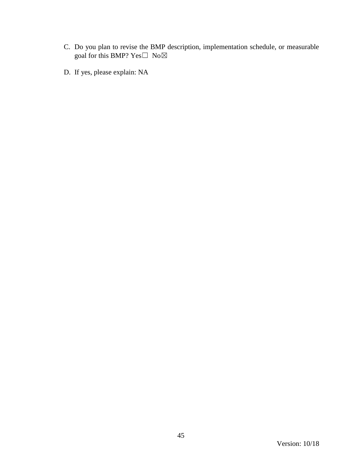- C. Do you plan to revise the BMP description, implementation schedule, or measurable goal for this BMP?  $Yes \Box No \boxtimes$
- D. If yes, please explain: NA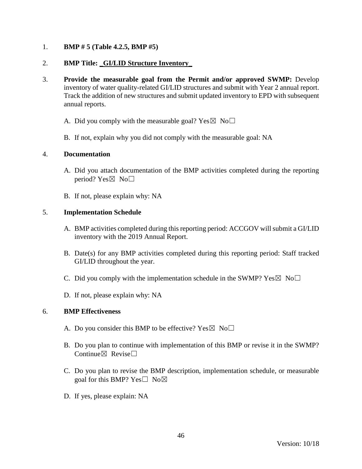### 1. **BMP # 5 (Table 4.2.5, BMP #5)**

### 2. **BMP Title:** \_**GI/LID Structure Inventory**\_

- 3. **Provide the measurable goal from the Permit and/or approved SWMP:** Develop inventory of water quality-related GI/LID structures and submit with Year 2 annual report. Track the addition of new structures and submit updated inventory to EPD with subsequent annual reports.
	- A. Did you comply with the measurable goal? Yes  $\boxtimes$  No $\Box$
	- B. If not, explain why you did not comply with the measurable goal: NA

#### 4. **Documentation**

- A. Did you attach documentation of the BMP activities completed during the reporting period? Yes $\boxtimes$  No $\square$
- B. If not, please explain why: NA

### 5. **Implementation Schedule**

- A. BMP activities completed during this reporting period: ACCGOV will submit a GI/LID inventory with the 2019 Annual Report.
- B. Date(s) for any BMP activities completed during this reporting period: Staff tracked GI/LID throughout the year.
- C. Did you comply with the implementation schedule in the SWMP?  $Yes \boxtimes No \square$
- D. If not, please explain why: NA

- A. Do you consider this BMP to be effective? Yes  $\boxtimes$  No $\Box$
- B. Do you plan to continue with implementation of this BMP or revise it in the SWMP? Continue $\boxtimes$  Revise $\Box$
- C. Do you plan to revise the BMP description, implementation schedule, or measurable goal for this BMP? Yes $\square$  No $\boxtimes$
- D. If yes, please explain: NA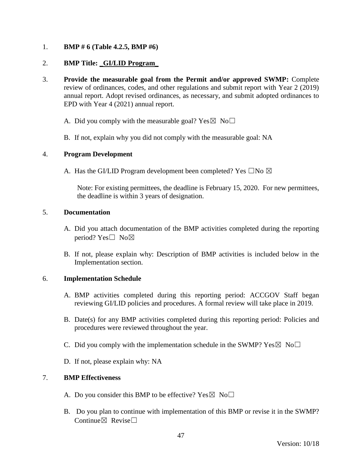### 1. **BMP # 6 (Table 4.2.5, BMP #6)**

### 2. **BMP Title:** \_**GI/LID Program**\_

- 3. **Provide the measurable goal from the Permit and/or approved SWMP:** Complete review of ordinances, codes, and other regulations and submit report with Year 2 (2019) annual report. Adopt revised ordinances, as necessary, and submit adopted ordinances to EPD with Year 4 (2021) annual report.
	- A. Did you comply with the measurable goal? Yes  $\boxtimes$  No $\Box$
	- B. If not, explain why you did not comply with the measurable goal: NA

#### 4. **Program Development**

A. Has the GI/LID Program development been completed? Yes  $\square$ No  $\boxtimes$ 

Note: For existing permittees, the deadline is February 15, 2020. For new permittees, the deadline is within 3 years of designation.

#### 5. **Documentation**

- A. Did you attach documentation of the BMP activities completed during the reporting period? Yes $\square$  No $\boxtimes$
- B. If not, please explain why: Description of BMP activities is included below in the Implementation section.

# 6. **Implementation Schedule**

- A. BMP activities completed during this reporting period: ACCGOV Staff began reviewing GI/LID policies and procedures. A formal review will take place in 2019.
- B. Date(s) for any BMP activities completed during this reporting period: Policies and procedures were reviewed throughout the year.
- C. Did you comply with the implementation schedule in the SWMP?  $Yes \boxtimes No \square$
- D. If not, please explain why: NA

- A. Do you consider this BMP to be effective? Yes  $\boxtimes$  No $\Box$
- B. Do you plan to continue with implementation of this BMP or revise it in the SWMP? Continue $\nabla$  Revise $\Box$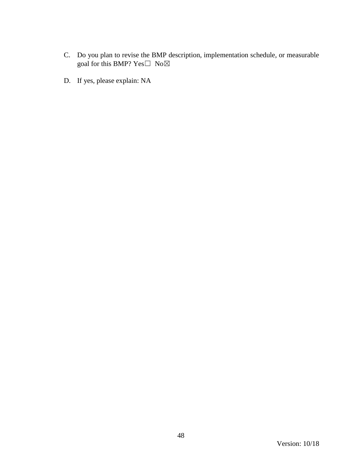- C. Do you plan to revise the BMP description, implementation schedule, or measurable goal for this BMP?  $Yes \Box No \boxtimes$
- D. If yes, please explain: NA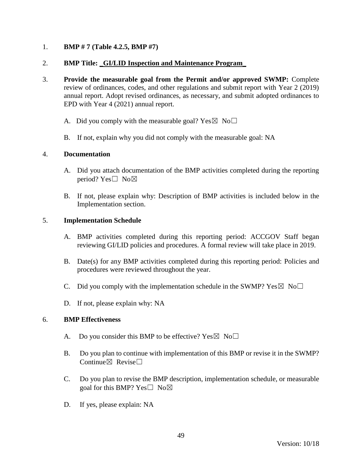## 1. **BMP # 7 (Table 4.2.5, BMP #7)**

### 2. **BMP Title:** \_**GI/LID Inspection and Maintenance Program**\_

- 3. **Provide the measurable goal from the Permit and/or approved SWMP:** Complete review of ordinances, codes, and other regulations and submit report with Year 2 (2019) annual report. Adopt revised ordinances, as necessary, and submit adopted ordinances to EPD with Year 4 (2021) annual report.
	- A. Did you comply with the measurable goal? Yes  $\boxtimes$  No $\Box$
	- B. If not, explain why you did not comply with the measurable goal: NA

#### 4. **Documentation**

- A. Did you attach documentation of the BMP activities completed during the reporting period? Yes $\square$  No $\boxtimes$
- B. If not, please explain why: Description of BMP activities is included below in the Implementation section.

### 5. **Implementation Schedule**

- A. BMP activities completed during this reporting period: ACCGOV Staff began reviewing GI/LID policies and procedures. A formal review will take place in 2019.
- B. Date(s) for any BMP activities completed during this reporting period: Policies and procedures were reviewed throughout the year.
- C. Did you comply with the implementation schedule in the SWMP?  $Yes \boxtimes No \square$
- D. If not, please explain why: NA

- A. Do you consider this BMP to be effective? Yes  $\boxtimes$  No $\Box$
- B. Do you plan to continue with implementation of this BMP or revise it in the SWMP? Continue $\boxtimes$  Revise $\Box$
- C. Do you plan to revise the BMP description, implementation schedule, or measurable goal for this BMP?  $Yes \Box No \boxtimes$
- D. If yes, please explain: NA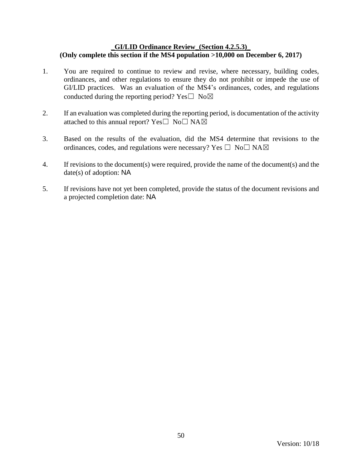### \_**GI/LID Ordinance Review\_(Section 4.2.5.3)**\_ **(Only complete this section if the MS4 population >10,000 on December 6, 2017)**

- 1. You are required to continue to review and revise, where necessary, building codes, ordinances, and other regulations to ensure they do not prohibit or impede the use of GI/LID practices. Was an evaluation of the MS4's ordinances, codes, and regulations conducted during the reporting period? Yes $\square$  No $\boxtimes$
- 2. If an evaluation was completed during the reporting period, is documentation of the activity attached to this annual report? Yes $\square$  No $\square$  NA $\boxtimes$
- 3. Based on the results of the evaluation, did the MS4 determine that revisions to the ordinances, codes, and regulations were necessary? Yes  $\Box$  No $\Box$  NA $\boxtimes$
- 4. If revisions to the document(s) were required, provide the name of the document(s) and the date(s) of adoption: NA
- 5. If revisions have not yet been completed, provide the status of the document revisions and a projected completion date: NA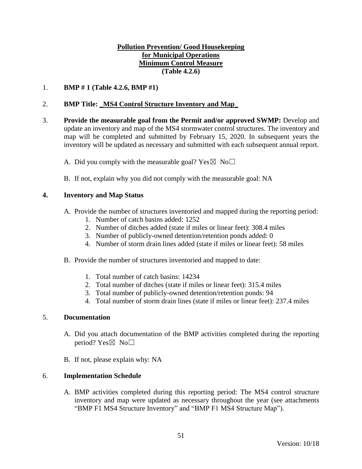## **Pollution Prevention/ Good Housekeeping for Municipal Operations Minimum Control Measure (Table 4.2.6)**

1. **BMP # 1 (Table 4.2.6, BMP #1)**

### 2. **BMP Title:** \_**MS4 Control Structure Inventory and Map**\_

- 3. **Provide the measurable goal from the Permit and/or approved SWMP:** Develop and update an inventory and map of the MS4 stormwater control structures. The inventory and map will be completed and submitted by February 15, 2020. In subsequent years the inventory will be updated as necessary and submitted with each subsequent annual report.
	- A. Did you comply with the measurable goal? Yes  $\boxtimes$  No $\Box$
	- B. If not, explain why you did not comply with the measurable goal: NA

### **4. Inventory and Map Status**

- A. Provide the number of structures inventoried and mapped during the reporting period:
	- 1. Number of catch basins added: 1252
	- 2. Number of ditches added (state if miles or linear feet): 308.4 miles
	- 3. Number of publicly-owned detention/retention ponds added: 0
	- 4. Number of storm drain lines added (state if miles or linear feet): 58 miles
- B. Provide the number of structures inventoried and mapped to date:
	- 1. Total number of catch basins: 14234
	- 2. Total number of ditches (state if miles or linear feet): 315.4 miles
	- 3. Total number of publicly-owned detention/retention ponds: 94
	- 4. Total number of storm drain lines (state if miles or linear feet): 237.4 miles

#### 5. **Documentation**

- A. Did you attach documentation of the BMP activities completed during the reporting period? Yes⊠ No□
- B. If not, please explain why: NA

#### 6. **Implementation Schedule**

A. BMP activities completed during this reporting period: The MS4 control structure inventory and map were updated as necessary throughout the year (see attachments "BMP F1 MS4 Structure Inventory" and "BMP F1 MS4 Structure Map").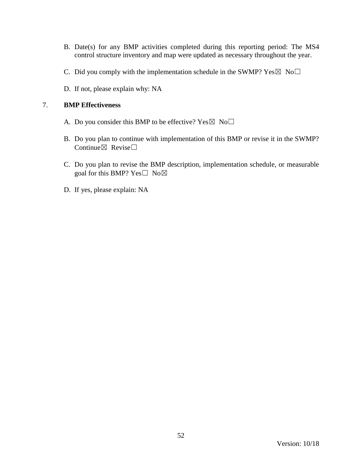- B. Date(s) for any BMP activities completed during this reporting period: The MS4 control structure inventory and map were updated as necessary throughout the year.
- C. Did you comply with the implementation schedule in the SWMP? Yes  $\boxtimes$  No $\Box$
- D. If not, please explain why: NA

- A. Do you consider this BMP to be effective? Yes  $\boxtimes$  No $\Box$
- B. Do you plan to continue with implementation of this BMP or revise it in the SWMP? Continue $\boxtimes$  Revise $\Box$
- C. Do you plan to revise the BMP description, implementation schedule, or measurable goal for this BMP?  $Yes \Box No \boxtimes$
- D. If yes, please explain: NA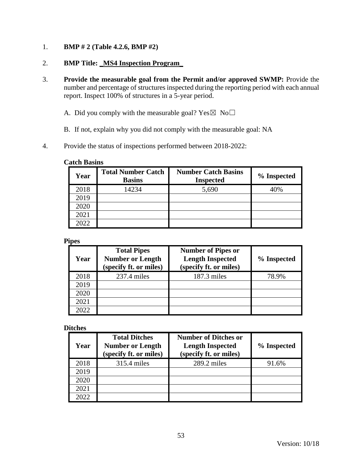1. **BMP # 2 (Table 4.2.6, BMP #2)** 

## 2. **BMP Title:** \_**MS4 Inspection Program**\_

3. **Provide the measurable goal from the Permit and/or approved SWMP:** Provide the number and percentage of structures inspected during the reporting period with each annual report. Inspect 100% of structures in a 5-year period.

A. Did you comply with the measurable goal? Yes $\boxtimes$  No $\Box$ 

- B. If not, explain why you did not comply with the measurable goal: NA
- 4. Provide the status of inspections performed between 2018-2022:

#### **Catch Basins**

| Year | <b>Total Number Catch</b><br><b>Basins</b> | <b>Number Catch Basins</b><br><b>Inspected</b> | % Inspected |
|------|--------------------------------------------|------------------------------------------------|-------------|
| 2018 | 14234                                      | 5,690                                          | 40%         |
| 2019 |                                            |                                                |             |
| 2020 |                                            |                                                |             |
| 2021 |                                            |                                                |             |
| 2022 |                                            |                                                |             |

#### **Pipes**

| Year | <b>Total Pipes</b><br><b>Number or Length</b><br>(specify ft. or miles) | <b>Number of Pipes or</b><br><b>Length Inspected</b><br>(specify ft. or miles) | % Inspected |
|------|-------------------------------------------------------------------------|--------------------------------------------------------------------------------|-------------|
| 2018 | $237.4$ miles                                                           | 187.3 miles                                                                    | 78.9%       |
| 2019 |                                                                         |                                                                                |             |
| 2020 |                                                                         |                                                                                |             |
| 2021 |                                                                         |                                                                                |             |
| 2022 |                                                                         |                                                                                |             |

#### **Ditches**

| Year | <b>Total Ditches</b><br><b>Number or Length</b><br>(specify ft. or miles) | <b>Number of Ditches or</b><br><b>Length Inspected</b><br>(specify ft. or miles) | % Inspected |
|------|---------------------------------------------------------------------------|----------------------------------------------------------------------------------|-------------|
| 2018 | 315.4 miles                                                               | $289.2$ miles                                                                    | 91.6%       |
| 2019 |                                                                           |                                                                                  |             |
| 2020 |                                                                           |                                                                                  |             |
| 2021 |                                                                           |                                                                                  |             |
| 2022 |                                                                           |                                                                                  |             |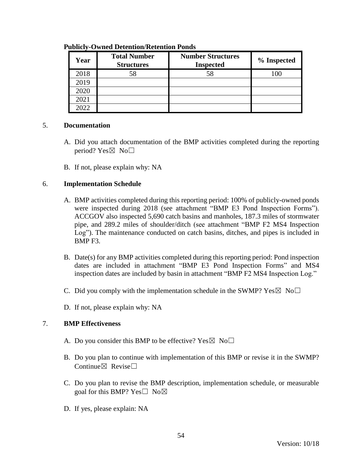| Year | <b>Total Number</b><br><b>Structures</b> | <b>Number Structures</b><br><b>Inspected</b> | % Inspected |
|------|------------------------------------------|----------------------------------------------|-------------|
| 2018 | 58                                       | 58                                           | 100         |
| 2019 |                                          |                                              |             |
| 2020 |                                          |                                              |             |
| 2021 |                                          |                                              |             |
| 2022 |                                          |                                              |             |

#### **Publicly-Owned Detention/Retention Ponds**

#### 5. **Documentation**

- A. Did you attach documentation of the BMP activities completed during the reporting period? Yes $\boxtimes$  No $\square$
- B. If not, please explain why: NA

### 6. **Implementation Schedule**

- A. BMP activities completed during this reporting period: 100% of publicly-owned ponds were inspected during 2018 (see attachment "BMP E3 Pond Inspection Forms"). ACCGOV also inspected 5,690 catch basins and manholes, 187.3 miles of stormwater pipe, and 289.2 miles of shoulder/ditch (see attachment "BMP F2 MS4 Inspection Log"). The maintenance conducted on catch basins, ditches, and pipes is included in BMP F3.
- B. Date(s) for any BMP activities completed during this reporting period: Pond inspection dates are included in attachment "BMP E3 Pond Inspection Forms" and MS4 inspection dates are included by basin in attachment "BMP F2 MS4 Inspection Log."
- C. Did you comply with the implementation schedule in the SWMP?  $Yes \boxtimes No \square$
- D. If not, please explain why: NA

- A. Do you consider this BMP to be effective? Yes  $\boxtimes$  No $\Box$
- B. Do you plan to continue with implementation of this BMP or revise it in the SWMP? Continue⊠ Revise□
- C. Do you plan to revise the BMP description, implementation schedule, or measurable goal for this BMP? Yes $\square$  No $\boxtimes$
- D. If yes, please explain: NA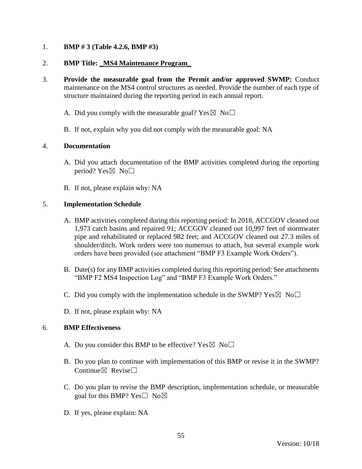### 1. **BMP # 3 (Table 4.2.6, BMP #3)**

### 2. **BMP Title:** \_**MS4 Maintenance Program**\_

- 3. **Provide the measurable goal from the Permit and/or approved SWMP:** Conduct maintenance on the MS4 control structures as needed. Provide the number of each type of structure maintained during the reporting period in each annual report.
	- A. Did you comply with the measurable goal? Yes  $\boxtimes$  No $\Box$
	- B. If not, explain why you did not comply with the measurable goal: NA

#### 4. **Documentation**

- A. Did you attach documentation of the BMP activities completed during the reporting period? Yes $\boxtimes$  No $\square$
- B. If not, please explain why: NA

#### 5. **Implementation Schedule**

- A. BMP activities completed during this reporting period: In 2018, ACCGOV cleaned out 1,973 catch basins and repaired 91; ACCGOV cleaned out 10,997 feet of stormwater pipe and rehabilitated or replaced 982 feet; and ACCGOV cleaned out 27.3 miles of shoulder/ditch. Work orders were too numerous to attach, but several example work orders have been provided (see attachment "BMP F3 Example Work Orders").
- B. Date(s) for any BMP activities completed during this reporting period: See attachments "BMP F2 MS4 Inspection Log" and "BMP F3 Example Work Orders."
- C. Did you comply with the implementation schedule in the SWMP?  $Yes \boxtimes No \square$
- D. If not, please explain why: NA

- A. Do you consider this BMP to be effective? Yes  $\boxtimes$  No $\Box$
- B. Do you plan to continue with implementation of this BMP or revise it in the SWMP? Continue $\nabla$  Revise $\nabla$
- C. Do you plan to revise the BMP description, implementation schedule, or measurable goal for this BMP? Yes $\square$  No $\boxtimes$
- D. If yes, please explain: NA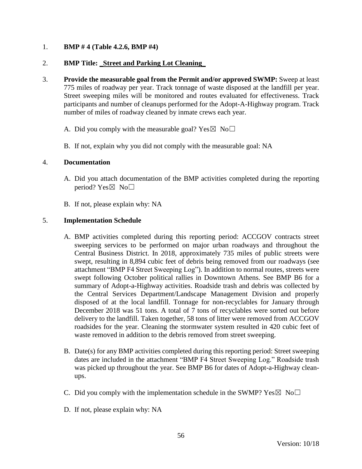## 1. **BMP # 4 (Table 4.2.6, BMP #4)**

### 2. **BMP Title:** \_**Street and Parking Lot Cleaning**\_

- 3. **Provide the measurable goal from the Permit and/or approved SWMP:** Sweep at least 775 miles of roadway per year. Track tonnage of waste disposed at the landfill per year. Street sweeping miles will be monitored and routes evaluated for effectiveness. Track participants and number of cleanups performed for the Adopt-A-Highway program. Track number of miles of roadway cleaned by inmate crews each year.
	- A. Did you comply with the measurable goal? Yes  $\boxtimes$  No $\Box$
	- B. If not, explain why you did not comply with the measurable goal: NA

#### 4. **Documentation**

- A. Did you attach documentation of the BMP activities completed during the reporting period? Yes $\boxtimes$  No $\square$
- B. If not, please explain why: NA

### 5. **Implementation Schedule**

- A. BMP activities completed during this reporting period: ACCGOV contracts street sweeping services to be performed on major urban roadways and throughout the Central Business District. In 2018, approximately 735 miles of public streets were swept, resulting in 8,894 cubic feet of debris being removed from our roadways (see attachment "BMP F4 Street Sweeping Log"). In addition to normal routes, streets were swept following October political rallies in Downtown Athens. See BMP B6 for a summary of Adopt-a-Highway activities. Roadside trash and debris was collected by the Central Services Department/Landscape Management Division and properly disposed of at the local landfill. Tonnage for non-recyclables for January through December 2018 was 51 tons. A total of 7 tons of recyclables were sorted out before delivery to the landfill. Taken together, 58 tons of litter were removed from ACCGOV roadsides for the year. Cleaning the stormwater system resulted in 420 cubic feet of waste removed in addition to the debris removed from street sweeping.
- B. Date(s) for any BMP activities completed during this reporting period: Street sweeping dates are included in the attachment "BMP F4 Street Sweeping Log." Roadside trash was picked up throughout the year. See BMP B6 for dates of Adopt-a-Highway cleanups.
- C. Did you comply with the implementation schedule in the SWMP?  $Yes \boxtimes No \square$
- D. If not, please explain why: NA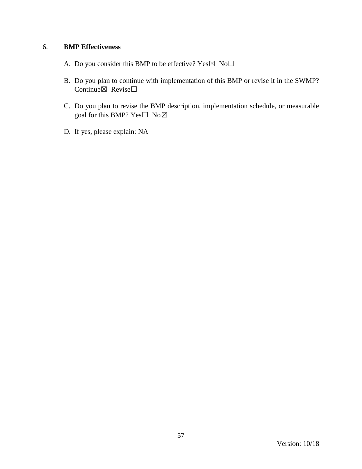- A. Do you consider this BMP to be effective? Yes  $\boxtimes \text{ No} \square$
- B. Do you plan to continue with implementation of this BMP or revise it in the SWMP? Continue $\boxtimes$  Revise $\Box$
- C. Do you plan to revise the BMP description, implementation schedule, or measurable goal for this BMP? Yes□ No⊠
- D. If yes, please explain: NA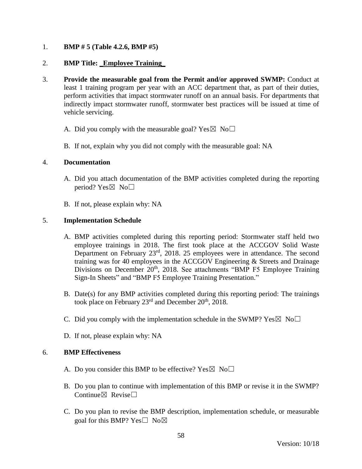## 1. **BMP # 5 (Table 4.2.6, BMP #5)**

### 2. **BMP Title:** \_**Employee Training\_**

- 3. **Provide the measurable goal from the Permit and/or approved SWMP:** Conduct at least 1 training program per year with an ACC department that, as part of their duties, perform activities that impact stormwater runoff on an annual basis. For departments that indirectly impact stormwater runoff, stormwater best practices will be issued at time of vehicle servicing.
	- A. Did you comply with the measurable goal? Yes  $\boxtimes$  No $\Box$
	- B. If not, explain why you did not comply with the measurable goal: NA

#### 4. **Documentation**

- A. Did you attach documentation of the BMP activities completed during the reporting period? Yes $\boxtimes$  No $\square$
- B. If not, please explain why: NA

### 5. **Implementation Schedule**

- A. BMP activities completed during this reporting period: Stormwater staff held two employee trainings in 2018. The first took place at the ACCGOV Solid Waste Department on February 23rd, 2018. 25 employees were in attendance. The second training was for 40 employees in the ACCGOV Engineering & Streets and Drainage Divisions on December 20<sup>th</sup>, 2018. See attachments "BMP F5 Employee Training Sign-In Sheets" and "BMP F5 Employee Training Presentation."
- B. Date(s) for any BMP activities completed during this reporting period: The trainings took place on February  $23^{\text{rd}}$  and December  $20^{\text{th}}$ ,  $2018$ .
- C. Did you comply with the implementation schedule in the SWMP?  $Yes \boxtimes No \square$
- D. If not, please explain why: NA

- A. Do you consider this BMP to be effective? Yes  $\boxtimes$  No $\Box$
- B. Do you plan to continue with implementation of this BMP or revise it in the SWMP? Continue $\boxtimes$  Revise $\Box$
- C. Do you plan to revise the BMP description, implementation schedule, or measurable goal for this BMP? Yes $\square$  No $\boxtimes$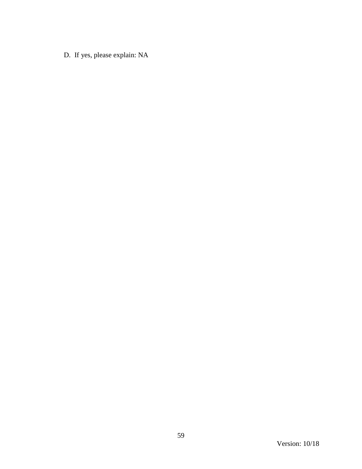D. If yes, please explain: NA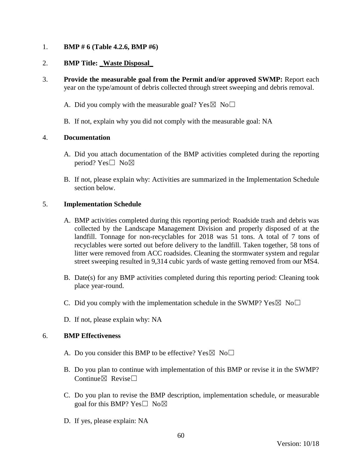1. **BMP # 6 (Table 4.2.6, BMP #6)**

## 2. **BMP Title:** \_**Waste Disposal**\_

- 3. **Provide the measurable goal from the Permit and/or approved SWMP:** Report each year on the type/amount of debris collected through street sweeping and debris removal.
	- A. Did you comply with the measurable goal? Yes  $\boxtimes$  No $\Box$
	- B. If not, explain why you did not comply with the measurable goal: NA

#### 4. **Documentation**

- A. Did you attach documentation of the BMP activities completed during the reporting period? Yes□ No⊠
- B. If not, please explain why: Activities are summarized in the Implementation Schedule section below.

### 5. **Implementation Schedule**

- A. BMP activities completed during this reporting period: Roadside trash and debris was collected by the Landscape Management Division and properly disposed of at the landfill. Tonnage for non-recyclables for 2018 was 51 tons. A total of 7 tons of recyclables were sorted out before delivery to the landfill. Taken together, 58 tons of litter were removed from ACC roadsides. Cleaning the stormwater system and regular street sweeping resulted in 9,314 cubic yards of waste getting removed from our MS4.
- B. Date(s) for any BMP activities completed during this reporting period: Cleaning took place year-round.
- C. Did you comply with the implementation schedule in the SWMP?  $Yes \boxtimes No \square$
- D. If not, please explain why: NA

- A. Do you consider this BMP to be effective? Yes  $\boxtimes$  No $\Box$
- B. Do you plan to continue with implementation of this BMP or revise it in the SWMP? Continue $\boxtimes$  Revise $\Box$
- C. Do you plan to revise the BMP description, implementation schedule, or measurable goal for this BMP? Yes $\square$  No $\boxtimes$
- D. If yes, please explain: NA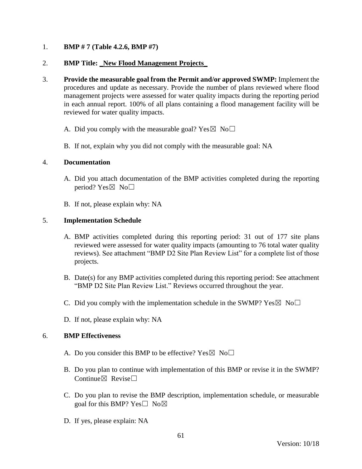## 1. **BMP # 7 (Table 4.2.6, BMP #7)**

### 2. **BMP Title:** \_**New Flood Management Projects**\_

- 3. **Provide the measurable goal from the Permit and/or approved SWMP:** Implement the procedures and update as necessary. Provide the number of plans reviewed where flood management projects were assessed for water quality impacts during the reporting period in each annual report. 100% of all plans containing a flood management facility will be reviewed for water quality impacts.
	- A. Did you comply with the measurable goal? Yes  $\boxtimes$  No $\Box$
	- B. If not, explain why you did not comply with the measurable goal: NA

#### 4. **Documentation**

- A. Did you attach documentation of the BMP activities completed during the reporting period? Yes $\boxtimes$  No $\square$
- B. If not, please explain why: NA

#### 5. **Implementation Schedule**

- A. BMP activities completed during this reporting period: 31 out of 177 site plans reviewed were assessed for water quality impacts (amounting to 76 total water quality reviews). See attachment "BMP D2 Site Plan Review List" for a complete list of those projects.
- B. Date(s) for any BMP activities completed during this reporting period: See attachment "BMP D2 Site Plan Review List." Reviews occurred throughout the year.
- C. Did you comply with the implementation schedule in the SWMP?  $Yes \boxtimes No \square$
- D. If not, please explain why: NA

- A. Do you consider this BMP to be effective? Yes  $\boxtimes$  No $\Box$
- B. Do you plan to continue with implementation of this BMP or revise it in the SWMP? Continue $\boxtimes$  Revise $\Box$
- C. Do you plan to revise the BMP description, implementation schedule, or measurable goal for this BMP? Yes $\square$  No $\boxtimes$
- D. If yes, please explain: NA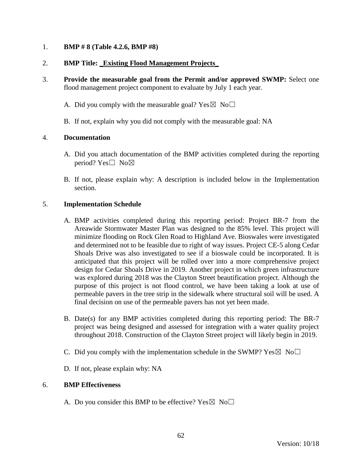### 1. **BMP # 8 (Table 4.2.6, BMP #8)**

### 2. **BMP Title:** \_**Existing Flood Management Projects**\_

- 3. **Provide the measurable goal from the Permit and/or approved SWMP:** Select one flood management project component to evaluate by July 1 each year.
	- A. Did you comply with the measurable goal? Yes  $\boxtimes$  No $\Box$
	- B. If not, explain why you did not comply with the measurable goal: NA

#### 4. **Documentation**

- A. Did you attach documentation of the BMP activities completed during the reporting period? Yes□ No⊠
- B. If not, please explain why: A description is included below in the Implementation section.

### 5. **Implementation Schedule**

- A. BMP activities completed during this reporting period: Project BR-7 from the Areawide Stormwater Master Plan was designed to the 85% level. This project will minimize flooding on Rock Glen Road to Highland Ave. Bioswales were investigated and determined not to be feasible due to right of way issues. Project CE-5 along Cedar Shoals Drive was also investigated to see if a bioswale could be incorporated. It is anticipated that this project will be rolled over into a more comprehensive project design for Cedar Shoals Drive in 2019. Another project in which green infrastructure was explored during 2018 was the Clayton Street beautification project. Although the purpose of this project is not flood control, we have been taking a look at use of permeable pavers in the tree strip in the sidewalk where structural soil will be used. A final decision on use of the permeable pavers has not yet been made.
- B. Date(s) for any BMP activities completed during this reporting period: The BR-7 project was being designed and assessed for integration with a water quality project throughout 2018. Construction of the Clayton Street project will likely begin in 2019.
- C. Did you comply with the implementation schedule in the SWMP?  $Yes \boxtimes No \square$
- D. If not, please explain why: NA

#### 6. **BMP Effectiveness**

A. Do you consider this BMP to be effective? Yes  $\boxtimes$  No $\Box$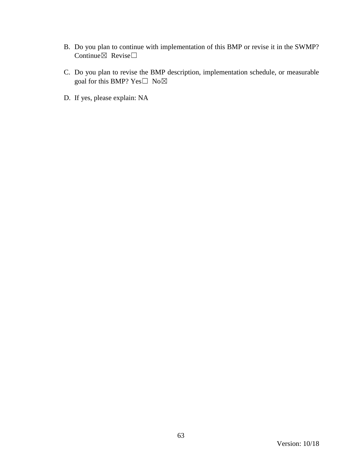- B. Do you plan to continue with implementation of this BMP or revise it in the SWMP? Continue⊠ Revise□
- C. Do you plan to revise the BMP description, implementation schedule, or measurable goal for this BMP?  $Yes \Box No \boxtimes$
- D. If yes, please explain: NA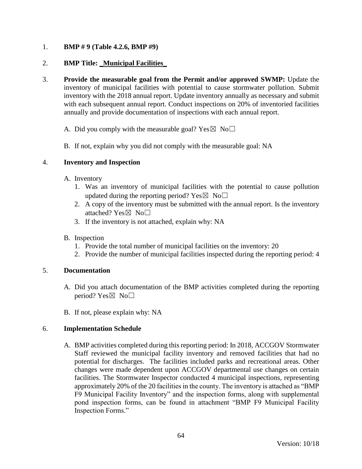# 1. **BMP # 9 (Table 4.2.6, BMP #9)**

### 2. **BMP Title:** \_**Municipal Facilities**\_

- 3. **Provide the measurable goal from the Permit and/or approved SWMP:** Update the inventory of municipal facilities with potential to cause stormwater pollution. Submit inventory with the 2018 annual report. Update inventory annually as necessary and submit with each subsequent annual report. Conduct inspections on 20% of inventoried facilities annually and provide documentation of inspections with each annual report.
	- A. Did you comply with the measurable goal? Yes  $\boxtimes$  No $\Box$
	- B. If not, explain why you did not comply with the measurable goal: NA

### 4. **Inventory and Inspection**

- A. Inventory
	- 1. Was an inventory of municipal facilities with the potential to cause pollution updated during the reporting period? Yes $\boxtimes$  No $\Box$
	- 2. A copy of the inventory must be submitted with the annual report. Is the inventory attached?  $Yes \boxtimes No \square$
	- 3. If the inventory is not attached, explain why: NA

### B. Inspection

- 1. Provide the total number of municipal facilities on the inventory: 20
- 2. Provide the number of municipal facilities inspected during the reporting period: 4

#### 5. **Documentation**

- A. Did you attach documentation of the BMP activities completed during the reporting period? Yes $\boxtimes$  No $\square$
- B. If not, please explain why: NA

# 6. **Implementation Schedule**

A. BMP activities completed during this reporting period: In 2018, ACCGOV Stormwater Staff reviewed the municipal facility inventory and removed facilities that had no potential for discharges. The facilities included parks and recreational areas. Other changes were made dependent upon ACCGOV departmental use changes on certain facilities. The Stormwater Inspector conducted 4 municipal inspections, representing approximately 20% of the 20 facilities in the county. The inventory is attached as "BMP F9 Municipal Facility Inventory" and the inspection forms, along with supplemental pond inspection forms, can be found in attachment "BMP F9 Municipal Facility Inspection Forms."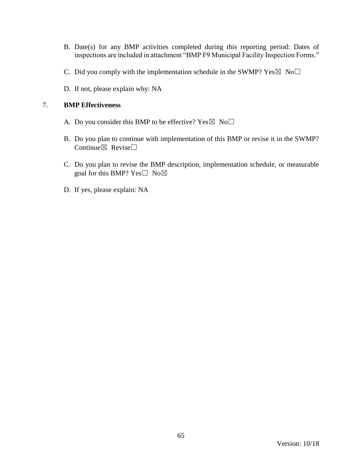- B. Date(s) for any BMP activities completed during this reporting period: Dates of inspections are included in attachment "BMP F9 Municipal Facility Inspection Forms."
- C. Did you comply with the implementation schedule in the SWMP? Yes  $\boxtimes$  No $\Box$
- D. If not, please explain why: NA

- A. Do you consider this BMP to be effective? Yes  $\boxtimes$  No $\Box$
- B. Do you plan to continue with implementation of this BMP or revise it in the SWMP? Continue $\boxtimes$  Revise $\Box$
- C. Do you plan to revise the BMP description, implementation schedule, or measurable goal for this BMP?  $Yes \Box No \boxtimes$
- D. If yes, please explain: NA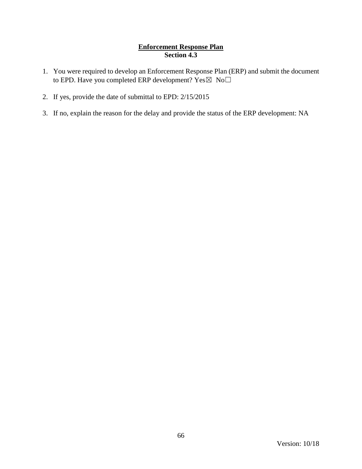# **Enforcement Response Plan Section 4.3**

- 1. You were required to develop an Enforcement Response Plan (ERP) and submit the document to EPD. Have you completed ERP development?  $Yes \boxtimes No \square$
- 2. If yes, provide the date of submittal to EPD: 2/15/2015
- 3. If no, explain the reason for the delay and provide the status of the ERP development: NA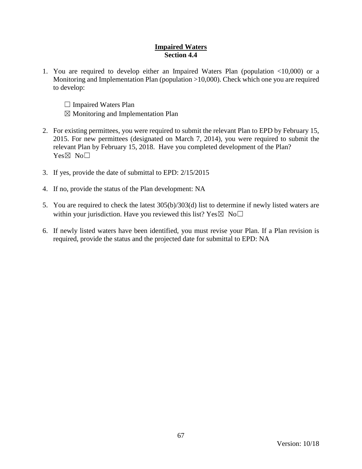### **Impaired Waters Section 4.4**

- 1. You are required to develop either an Impaired Waters Plan (population <10,000) or a Monitoring and Implementation Plan (population >10,000). Check which one you are required to develop:
	- $\Box$  Impaired Waters Plan
	- $\boxtimes$  Monitoring and Implementation Plan
- 2. For existing permittees, you were required to submit the relevant Plan to EPD by February 15, 2015. For new permittees (designated on March 7, 2014), you were required to submit the relevant Plan by February 15, 2018. Have you completed development of the Plan? Yes⊠ No□
- 3. If yes, provide the date of submittal to EPD: 2/15/2015
- 4. If no, provide the status of the Plan development: NA
- 5. You are required to check the latest 305(b)/303(d) list to determine if newly listed waters are within your jurisdiction. Have you reviewed this list? Yes  $\boxtimes \text{ No} \square$
- 6. If newly listed waters have been identified, you must revise your Plan. If a Plan revision is required, provide the status and the projected date for submittal to EPD: NA